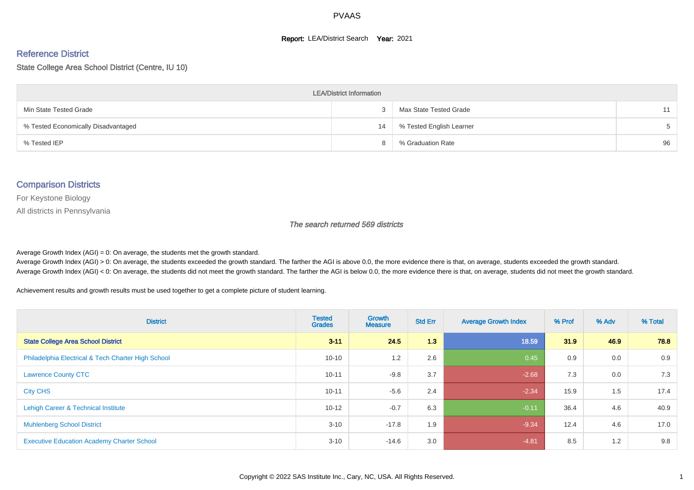#### **Report: LEA/District Search Year: 2021**

# Reference District

State College Area School District (Centre, IU 10)

| <b>LEA/District Information</b>     |    |                          |       |  |  |  |  |  |  |  |
|-------------------------------------|----|--------------------------|-------|--|--|--|--|--|--|--|
| Min State Tested Grade              |    | Max State Tested Grade   | 11    |  |  |  |  |  |  |  |
| % Tested Economically Disadvantaged | 14 | % Tested English Learner | $5 -$ |  |  |  |  |  |  |  |
| % Tested IEP                        |    | % Graduation Rate        | 96    |  |  |  |  |  |  |  |

#### Comparison Districts

For Keystone Biology

All districts in Pennsylvania

The search returned 569 districts

Average Growth Index  $(AGI) = 0$ : On average, the students met the growth standard.

Average Growth Index (AGI) > 0: On average, the students exceeded the growth standard. The farther the AGI is above 0.0, the more evidence there is that, on average, students exceeded the growth standard. Average Growth Index (AGI) < 0: On average, the students did not meet the growth standard. The farther the AGI is below 0.0, the more evidence there is that, on average, students did not meet the growth standard.

Achievement results and growth results must be used together to get a complete picture of student learning.

| <b>District</b>                                    | <b>Tested</b><br><b>Grades</b> | Growth<br><b>Measure</b> | <b>Std Err</b> | <b>Average Growth Index</b> | % Prof | % Adv | % Total |
|----------------------------------------------------|--------------------------------|--------------------------|----------------|-----------------------------|--------|-------|---------|
| <b>State College Area School District</b>          | $3 - 11$                       | 24.5                     | 1.3            | 18.59                       | 31.9   | 46.9  | 78.8    |
| Philadelphia Electrical & Tech Charter High School | $10 - 10$                      | 1.2                      | 2.6            | 0.45                        | 0.9    | 0.0   | 0.9     |
| <b>Lawrence County CTC</b>                         | $10 - 11$                      | $-9.8$                   | 3.7            | $-2.68$                     | 7.3    | 0.0   | 7.3     |
| <b>City CHS</b>                                    | $10 - 11$                      | $-5.6$                   | 2.4            | $-2.34$                     | 15.9   | 1.5   | 17.4    |
| Lehigh Career & Technical Institute                | $10 - 12$                      | $-0.7$                   | 6.3            | $-0.11$                     | 36.4   | 4.6   | 40.9    |
| <b>Muhlenberg School District</b>                  | $3 - 10$                       | $-17.8$                  | 1.9            | $-9.34$                     | 12.4   | 4.6   | 17.0    |
| <b>Executive Education Academy Charter School</b>  | $3 - 10$                       | $-14.6$                  | 3.0            | $-4.81$                     | 8.5    | 1.2   | 9.8     |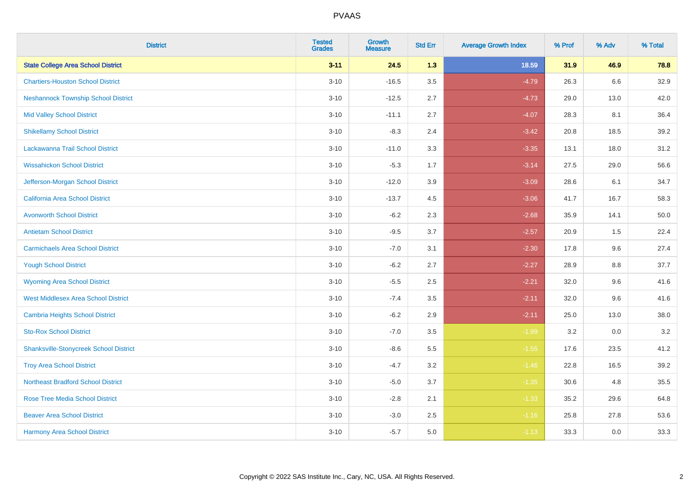| <b>District</b>                               | <b>Tested</b><br><b>Grades</b> | <b>Growth</b><br><b>Measure</b> | <b>Std Err</b> | <b>Average Growth Index</b> | % Prof | % Adv   | % Total |
|-----------------------------------------------|--------------------------------|---------------------------------|----------------|-----------------------------|--------|---------|---------|
| <b>State College Area School District</b>     | $3 - 11$                       | 24.5                            | 1.3            | 18.59                       | 31.9   | 46.9    | 78.8    |
| <b>Chartiers-Houston School District</b>      | $3 - 10$                       | $-16.5$                         | 3.5            | $-4.79$                     | 26.3   | $6.6\,$ | 32.9    |
| <b>Neshannock Township School District</b>    | $3 - 10$                       | $-12.5$                         | 2.7            | $-4.73$                     | 29.0   | 13.0    | 42.0    |
| <b>Mid Valley School District</b>             | $3 - 10$                       | $-11.1$                         | 2.7            | $-4.07$                     | 28.3   | 8.1     | 36.4    |
| <b>Shikellamy School District</b>             | $3 - 10$                       | $-8.3$                          | 2.4            | $-3.42$                     | 20.8   | 18.5    | 39.2    |
| Lackawanna Trail School District              | $3 - 10$                       | $-11.0$                         | 3.3            | $-3.35$                     | 13.1   | 18.0    | 31.2    |
| <b>Wissahickon School District</b>            | $3 - 10$                       | $-5.3$                          | 1.7            | $-3.14$                     | 27.5   | 29.0    | 56.6    |
| Jefferson-Morgan School District              | $3 - 10$                       | $-12.0$                         | 3.9            | $-3.09$                     | 28.6   | 6.1     | 34.7    |
| California Area School District               | $3 - 10$                       | $-13.7$                         | 4.5            | $-3.06$                     | 41.7   | 16.7    | 58.3    |
| <b>Avonworth School District</b>              | $3 - 10$                       | $-6.2$                          | 2.3            | $-2.68$                     | 35.9   | 14.1    | 50.0    |
| <b>Antietam School District</b>               | $3 - 10$                       | $-9.5$                          | 3.7            | $-2.57$                     | 20.9   | 1.5     | 22.4    |
| <b>Carmichaels Area School District</b>       | $3 - 10$                       | $-7.0$                          | 3.1            | $-2.30$                     | 17.8   | 9.6     | 27.4    |
| <b>Yough School District</b>                  | $3 - 10$                       | $-6.2$                          | 2.7            | $-2.27$                     | 28.9   | $8.8\,$ | 37.7    |
| <b>Wyoming Area School District</b>           | $3 - 10$                       | $-5.5$                          | 2.5            | $-2.21$                     | 32.0   | 9.6     | 41.6    |
| <b>West Middlesex Area School District</b>    | $3 - 10$                       | $-7.4$                          | 3.5            | $-2.11$                     | 32.0   | 9.6     | 41.6    |
| <b>Cambria Heights School District</b>        | $3 - 10$                       | $-6.2$                          | 2.9            | $-2.11$                     | 25.0   | 13.0    | 38.0    |
| <b>Sto-Rox School District</b>                | $3 - 10$                       | $-7.0$                          | 3.5            | $-1.99$                     | 3.2    | 0.0     | 3.2     |
| <b>Shanksville-Stonycreek School District</b> | $3 - 10$                       | $-8.6$                          | 5.5            | $-1.55$                     | 17.6   | 23.5    | 41.2    |
| <b>Troy Area School District</b>              | $3 - 10$                       | $-4.7$                          | 3.2            | $-1.46$                     | 22.8   | 16.5    | 39.2    |
| <b>Northeast Bradford School District</b>     | $3 - 10$                       | $-5.0$                          | 3.7            | $-1.35$                     | 30.6   | 4.8     | 35.5    |
| <b>Rose Tree Media School District</b>        | $3 - 10$                       | $-2.8$                          | 2.1            | $-1.33$                     | 35.2   | 29.6    | 64.8    |
| <b>Beaver Area School District</b>            | $3 - 10$                       | $-3.0$                          | 2.5            | $-1.16$                     | 25.8   | 27.8    | 53.6    |
| <b>Harmony Area School District</b>           | $3 - 10$                       | $-5.7$                          | 5.0            | $-1.13$                     | 33.3   | 0.0     | 33.3    |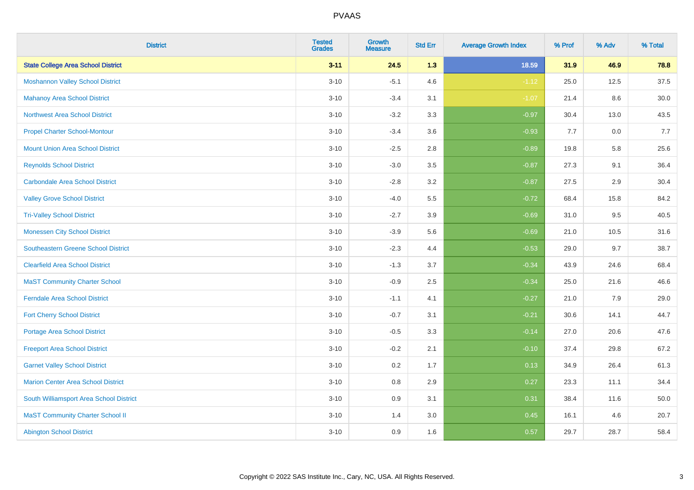| <b>District</b>                            | <b>Tested</b><br><b>Grades</b> | <b>Growth</b><br><b>Measure</b> | <b>Std Err</b> | <b>Average Growth Index</b> | % Prof | % Adv | % Total |
|--------------------------------------------|--------------------------------|---------------------------------|----------------|-----------------------------|--------|-------|---------|
| <b>State College Area School District</b>  | $3 - 11$                       | 24.5                            | 1.3            | 18.59                       | 31.9   | 46.9  | 78.8    |
| <b>Moshannon Valley School District</b>    | $3 - 10$                       | $-5.1$                          | 4.6            | $-1.12$                     | 25.0   | 12.5  | 37.5    |
| <b>Mahanoy Area School District</b>        | $3 - 10$                       | $-3.4$                          | 3.1            | $-1.07$                     | 21.4   | 8.6   | 30.0    |
| <b>Northwest Area School District</b>      | $3 - 10$                       | $-3.2$                          | 3.3            | $-0.97$                     | 30.4   | 13.0  | 43.5    |
| <b>Propel Charter School-Montour</b>       | $3 - 10$                       | $-3.4$                          | 3.6            | $-0.93$                     | 7.7    | 0.0   | 7.7     |
| <b>Mount Union Area School District</b>    | $3 - 10$                       | $-2.5$                          | 2.8            | $-0.89$                     | 19.8   | 5.8   | 25.6    |
| <b>Reynolds School District</b>            | $3 - 10$                       | $-3.0$                          | 3.5            | $-0.87$                     | 27.3   | 9.1   | 36.4    |
| <b>Carbondale Area School District</b>     | $3 - 10$                       | $-2.8$                          | 3.2            | $-0.87$                     | 27.5   | 2.9   | 30.4    |
| <b>Valley Grove School District</b>        | $3 - 10$                       | $-4.0$                          | 5.5            | $-0.72$                     | 68.4   | 15.8  | 84.2    |
| <b>Tri-Valley School District</b>          | $3 - 10$                       | $-2.7$                          | 3.9            | $-0.69$                     | 31.0   | 9.5   | 40.5    |
| <b>Monessen City School District</b>       | $3 - 10$                       | $-3.9$                          | 5.6            | $-0.69$                     | 21.0   | 10.5  | 31.6    |
| <b>Southeastern Greene School District</b> | $3 - 10$                       | $-2.3$                          | 4.4            | $-0.53$                     | 29.0   | 9.7   | 38.7    |
| <b>Clearfield Area School District</b>     | $3 - 10$                       | $-1.3$                          | 3.7            | $-0.34$                     | 43.9   | 24.6  | 68.4    |
| <b>MaST Community Charter School</b>       | $3 - 10$                       | $-0.9$                          | 2.5            | $-0.34$                     | 25.0   | 21.6  | 46.6    |
| <b>Ferndale Area School District</b>       | $3 - 10$                       | $-1.1$                          | 4.1            | $-0.27$                     | 21.0   | 7.9   | 29.0    |
| <b>Fort Cherry School District</b>         | $3 - 10$                       | $-0.7$                          | 3.1            | $-0.21$                     | 30.6   | 14.1  | 44.7    |
| <b>Portage Area School District</b>        | $3 - 10$                       | $-0.5$                          | 3.3            | $-0.14$                     | 27.0   | 20.6  | 47.6    |
| <b>Freeport Area School District</b>       | $3 - 10$                       | $-0.2$                          | 2.1            | $-0.10$                     | 37.4   | 29.8  | 67.2    |
| <b>Garnet Valley School District</b>       | $3 - 10$                       | 0.2                             | 1.7            | 0.13                        | 34.9   | 26.4  | 61.3    |
| <b>Marion Center Area School District</b>  | $3 - 10$                       | $0.8\,$                         | 2.9            | 0.27                        | 23.3   | 11.1  | 34.4    |
| South Williamsport Area School District    | $3 - 10$                       | 0.9                             | 3.1            | 0.31                        | 38.4   | 11.6  | 50.0    |
| <b>MaST Community Charter School II</b>    | $3 - 10$                       | 1.4                             | 3.0            | 0.45                        | 16.1   | 4.6   | 20.7    |
| <b>Abington School District</b>            | $3 - 10$                       | 0.9                             | 1.6            | 0.57                        | 29.7   | 28.7  | 58.4    |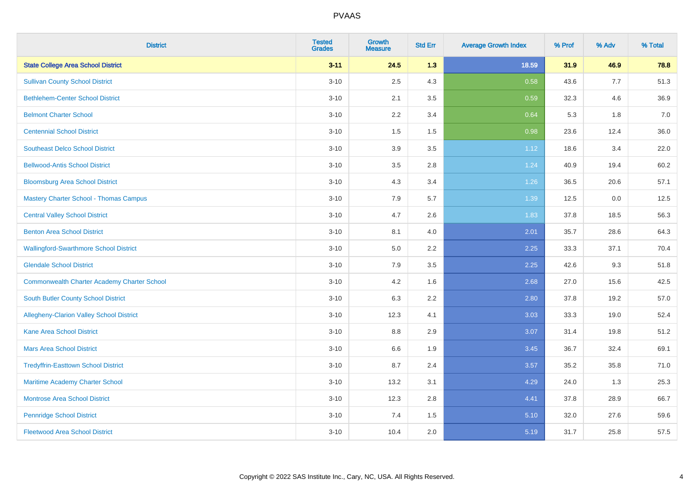| <b>District</b>                                    | <b>Tested</b><br><b>Grades</b> | <b>Growth</b><br><b>Measure</b> | <b>Std Err</b> | <b>Average Growth Index</b> | % Prof | % Adv | % Total |
|----------------------------------------------------|--------------------------------|---------------------------------|----------------|-----------------------------|--------|-------|---------|
| <b>State College Area School District</b>          | $3 - 11$                       | 24.5                            | 1.3            | 18.59                       | 31.9   | 46.9  | 78.8    |
| <b>Sullivan County School District</b>             | $3 - 10$                       | 2.5                             | 4.3            | 0.58                        | 43.6   | 7.7   | 51.3    |
| <b>Bethlehem-Center School District</b>            | $3 - 10$                       | 2.1                             | 3.5            | 0.59                        | 32.3   | 4.6   | 36.9    |
| <b>Belmont Charter School</b>                      | $3 - 10$                       | 2.2                             | 3.4            | 0.64                        | 5.3    | 1.8   | 7.0     |
| <b>Centennial School District</b>                  | $3 - 10$                       | 1.5                             | 1.5            | 0.98                        | 23.6   | 12.4  | 36.0    |
| <b>Southeast Delco School District</b>             | $3 - 10$                       | 3.9                             | 3.5            | 1.12                        | 18.6   | 3.4   | 22.0    |
| <b>Bellwood-Antis School District</b>              | $3 - 10$                       | 3.5                             | 2.8            | 1.24                        | 40.9   | 19.4  | 60.2    |
| <b>Bloomsburg Area School District</b>             | $3 - 10$                       | 4.3                             | 3.4            | 1.26                        | 36.5   | 20.6  | 57.1    |
| <b>Mastery Charter School - Thomas Campus</b>      | $3 - 10$                       | 7.9                             | 5.7            | 1.39                        | 12.5   | 0.0   | 12.5    |
| <b>Central Valley School District</b>              | $3 - 10$                       | 4.7                             | 2.6            | 1.83                        | 37.8   | 18.5  | 56.3    |
| <b>Benton Area School District</b>                 | $3 - 10$                       | 8.1                             | 4.0            | 2.01                        | 35.7   | 28.6  | 64.3    |
| <b>Wallingford-Swarthmore School District</b>      | $3 - 10$                       | 5.0                             | 2.2            | 2.25                        | 33.3   | 37.1  | 70.4    |
| <b>Glendale School District</b>                    | $3 - 10$                       | 7.9                             | 3.5            | 2.25                        | 42.6   | 9.3   | 51.8    |
| <b>Commonwealth Charter Academy Charter School</b> | $3 - 10$                       | 4.2                             | 1.6            | 2.68                        | 27.0   | 15.6  | 42.5    |
| South Butler County School District                | $3 - 10$                       | 6.3                             | 2.2            | 2.80                        | 37.8   | 19.2  | 57.0    |
| Allegheny-Clarion Valley School District           | $3 - 10$                       | 12.3                            | 4.1            | 3.03                        | 33.3   | 19.0  | 52.4    |
| <b>Kane Area School District</b>                   | $3 - 10$                       | 8.8                             | 2.9            | 3.07                        | 31.4   | 19.8  | 51.2    |
| <b>Mars Area School District</b>                   | $3 - 10$                       | 6.6                             | 1.9            | 3.45                        | 36.7   | 32.4  | 69.1    |
| <b>Tredyffrin-Easttown School District</b>         | $3 - 10$                       | 8.7                             | 2.4            | 3.57                        | 35.2   | 35.8  | 71.0    |
| Maritime Academy Charter School                    | $3 - 10$                       | 13.2                            | 3.1            | 4.29                        | 24.0   | 1.3   | 25.3    |
| Montrose Area School District                      | $3 - 10$                       | 12.3                            | 2.8            | 4.41                        | 37.8   | 28.9  | 66.7    |
| <b>Pennridge School District</b>                   | $3 - 10$                       | 7.4                             | 1.5            | 5.10                        | 32.0   | 27.6  | 59.6    |
| <b>Fleetwood Area School District</b>              | $3 - 10$                       | 10.4                            | 2.0            | 5.19                        | 31.7   | 25.8  | 57.5    |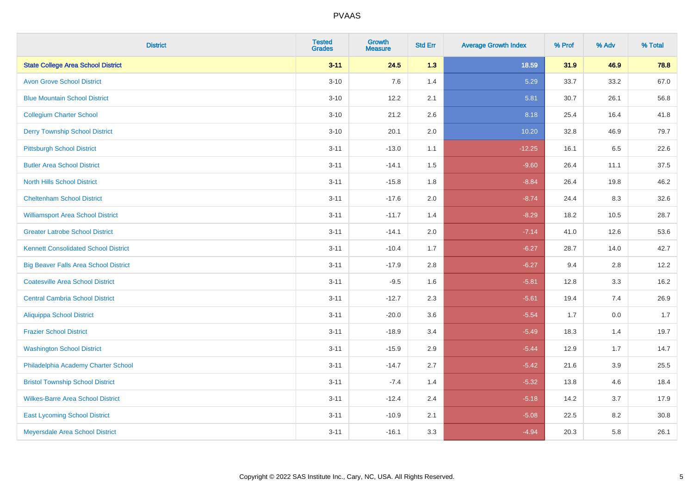| <b>District</b>                              | <b>Tested</b><br><b>Grades</b> | <b>Growth</b><br><b>Measure</b> | <b>Std Err</b> | <b>Average Growth Index</b> | % Prof | % Adv | % Total |
|----------------------------------------------|--------------------------------|---------------------------------|----------------|-----------------------------|--------|-------|---------|
| <b>State College Area School District</b>    | $3 - 11$                       | 24.5                            | 1.3            | 18.59                       | 31.9   | 46.9  | 78.8    |
| <b>Avon Grove School District</b>            | $3 - 10$                       | 7.6                             | 1.4            | 5.29                        | 33.7   | 33.2  | 67.0    |
| <b>Blue Mountain School District</b>         | $3 - 10$                       | 12.2                            | 2.1            | 5.81                        | 30.7   | 26.1  | 56.8    |
| <b>Collegium Charter School</b>              | $3 - 10$                       | 21.2                            | 2.6            | 8.18                        | 25.4   | 16.4  | 41.8    |
| <b>Derry Township School District</b>        | $3 - 10$                       | 20.1                            | 2.0            | 10.20                       | 32.8   | 46.9  | 79.7    |
| <b>Pittsburgh School District</b>            | $3 - 11$                       | $-13.0$                         | 1.1            | $-12.25$                    | 16.1   | 6.5   | 22.6    |
| <b>Butler Area School District</b>           | $3 - 11$                       | $-14.1$                         | $1.5\,$        | $-9.60$                     | 26.4   | 11.1  | 37.5    |
| <b>North Hills School District</b>           | $3 - 11$                       | $-15.8$                         | 1.8            | $-8.84$                     | 26.4   | 19.8  | 46.2    |
| <b>Cheltenham School District</b>            | $3 - 11$                       | $-17.6$                         | 2.0            | $-8.74$                     | 24.4   | 8.3   | 32.6    |
| <b>Williamsport Area School District</b>     | $3 - 11$                       | $-11.7$                         | 1.4            | $-8.29$                     | 18.2   | 10.5  | 28.7    |
| <b>Greater Latrobe School District</b>       | $3 - 11$                       | $-14.1$                         | 2.0            | $-7.14$                     | 41.0   | 12.6  | 53.6    |
| <b>Kennett Consolidated School District</b>  | $3 - 11$                       | $-10.4$                         | 1.7            | $-6.27$                     | 28.7   | 14.0  | 42.7    |
| <b>Big Beaver Falls Area School District</b> | $3 - 11$                       | $-17.9$                         | 2.8            | $-6.27$                     | 9.4    | 2.8   | 12.2    |
| <b>Coatesville Area School District</b>      | $3 - 11$                       | $-9.5$                          | 1.6            | $-5.81$                     | 12.8   | 3.3   | 16.2    |
| <b>Central Cambria School District</b>       | $3 - 11$                       | $-12.7$                         | 2.3            | $-5.61$                     | 19.4   | 7.4   | 26.9    |
| Aliquippa School District                    | $3 - 11$                       | $-20.0$                         | 3.6            | $-5.54$                     | 1.7    | 0.0   | 1.7     |
| <b>Frazier School District</b>               | $3 - 11$                       | $-18.9$                         | 3.4            | $-5.49$                     | 18.3   | 1.4   | 19.7    |
| <b>Washington School District</b>            | $3 - 11$                       | $-15.9$                         | 2.9            | $-5.44$                     | 12.9   | 1.7   | 14.7    |
| Philadelphia Academy Charter School          | $3 - 11$                       | $-14.7$                         | 2.7            | $-5.42$                     | 21.6   | 3.9   | 25.5    |
| <b>Bristol Township School District</b>      | $3 - 11$                       | $-7.4$                          | 1.4            | $-5.32$                     | 13.8   | 4.6   | 18.4    |
| <b>Wilkes-Barre Area School District</b>     | $3 - 11$                       | $-12.4$                         | 2.4            | $-5.18$                     | 14.2   | 3.7   | 17.9    |
| <b>East Lycoming School District</b>         | $3 - 11$                       | $-10.9$                         | 2.1            | $-5.08$                     | 22.5   | 8.2   | 30.8    |
| Meyersdale Area School District              | $3 - 11$                       | $-16.1$                         | 3.3            | $-4.94$                     | 20.3   | 5.8   | 26.1    |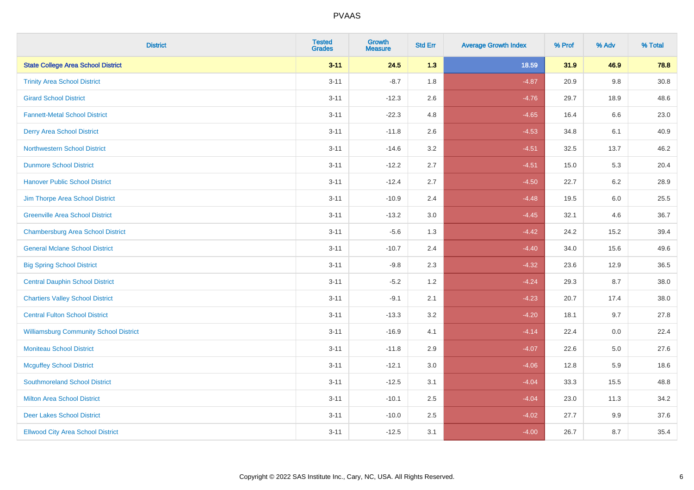| <b>District</b>                               | <b>Tested</b><br><b>Grades</b> | <b>Growth</b><br><b>Measure</b> | <b>Std Err</b> | <b>Average Growth Index</b> | % Prof | % Adv   | % Total |
|-----------------------------------------------|--------------------------------|---------------------------------|----------------|-----------------------------|--------|---------|---------|
| <b>State College Area School District</b>     | $3 - 11$                       | 24.5                            | 1.3            | 18.59                       | 31.9   | 46.9    | 78.8    |
| <b>Trinity Area School District</b>           | $3 - 11$                       | $-8.7$                          | 1.8            | $-4.87$                     | 20.9   | 9.8     | 30.8    |
| <b>Girard School District</b>                 | $3 - 11$                       | $-12.3$                         | 2.6            | $-4.76$                     | 29.7   | 18.9    | 48.6    |
| <b>Fannett-Metal School District</b>          | $3 - 11$                       | $-22.3$                         | 4.8            | $-4.65$                     | 16.4   | $6.6\,$ | 23.0    |
| <b>Derry Area School District</b>             | $3 - 11$                       | $-11.8$                         | 2.6            | $-4.53$                     | 34.8   | 6.1     | 40.9    |
| <b>Northwestern School District</b>           | $3 - 11$                       | $-14.6$                         | 3.2            | $-4.51$                     | 32.5   | 13.7    | 46.2    |
| <b>Dunmore School District</b>                | $3 - 11$                       | $-12.2$                         | 2.7            | $-4.51$                     | 15.0   | 5.3     | 20.4    |
| <b>Hanover Public School District</b>         | $3 - 11$                       | $-12.4$                         | 2.7            | $-4.50$                     | 22.7   | 6.2     | 28.9    |
| Jim Thorpe Area School District               | $3 - 11$                       | $-10.9$                         | 2.4            | $-4.48$                     | 19.5   | 6.0     | 25.5    |
| <b>Greenville Area School District</b>        | $3 - 11$                       | $-13.2$                         | 3.0            | $-4.45$                     | 32.1   | 4.6     | 36.7    |
| <b>Chambersburg Area School District</b>      | $3 - 11$                       | $-5.6$                          | 1.3            | $-4.42$                     | 24.2   | 15.2    | 39.4    |
| <b>General Mclane School District</b>         | $3 - 11$                       | $-10.7$                         | 2.4            | $-4.40$                     | 34.0   | 15.6    | 49.6    |
| <b>Big Spring School District</b>             | $3 - 11$                       | $-9.8$                          | 2.3            | $-4.32$                     | 23.6   | 12.9    | 36.5    |
| <b>Central Dauphin School District</b>        | $3 - 11$                       | $-5.2$                          | 1.2            | $-4.24$                     | 29.3   | 8.7     | 38.0    |
| <b>Chartiers Valley School District</b>       | $3 - 11$                       | $-9.1$                          | 2.1            | $-4.23$                     | 20.7   | 17.4    | 38.0    |
| <b>Central Fulton School District</b>         | $3 - 11$                       | $-13.3$                         | 3.2            | $-4.20$                     | 18.1   | 9.7     | 27.8    |
| <b>Williamsburg Community School District</b> | $3 - 11$                       | $-16.9$                         | 4.1            | $-4.14$                     | 22.4   | 0.0     | 22.4    |
| <b>Moniteau School District</b>               | $3 - 11$                       | $-11.8$                         | 2.9            | $-4.07$                     | 22.6   | 5.0     | 27.6    |
| <b>Mcguffey School District</b>               | $3 - 11$                       | $-12.1$                         | 3.0            | $-4.06$                     | 12.8   | 5.9     | 18.6    |
| <b>Southmoreland School District</b>          | $3 - 11$                       | $-12.5$                         | 3.1            | $-4.04$                     | 33.3   | 15.5    | 48.8    |
| <b>Milton Area School District</b>            | $3 - 11$                       | $-10.1$                         | 2.5            | $-4.04$                     | 23.0   | 11.3    | 34.2    |
| <b>Deer Lakes School District</b>             | $3 - 11$                       | $-10.0$                         | 2.5            | $-4.02$                     | 27.7   | 9.9     | 37.6    |
| <b>Ellwood City Area School District</b>      | $3 - 11$                       | $-12.5$                         | 3.1            | $-4.00$                     | 26.7   | 8.7     | 35.4    |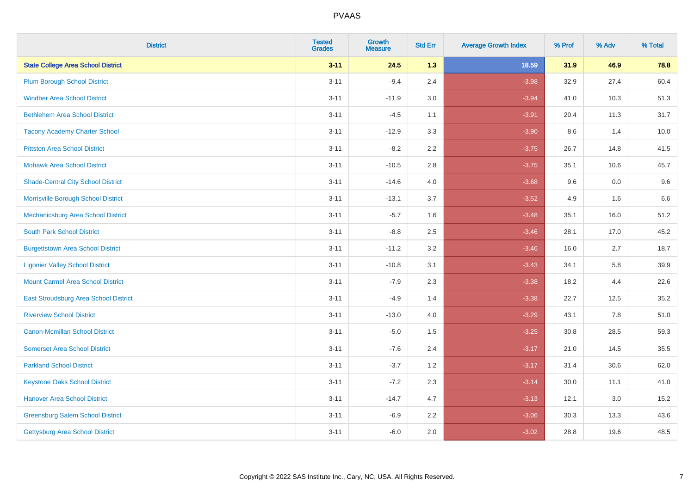| <b>District</b>                           | <b>Tested</b><br><b>Grades</b> | <b>Growth</b><br><b>Measure</b> | <b>Std Err</b> | <b>Average Growth Index</b> | % Prof | % Adv | % Total |
|-------------------------------------------|--------------------------------|---------------------------------|----------------|-----------------------------|--------|-------|---------|
| <b>State College Area School District</b> | $3 - 11$                       | 24.5                            | 1.3            | 18.59                       | 31.9   | 46.9  | 78.8    |
| <b>Plum Borough School District</b>       | $3 - 11$                       | $-9.4$                          | 2.4            | $-3.98$                     | 32.9   | 27.4  | 60.4    |
| <b>Windber Area School District</b>       | $3 - 11$                       | $-11.9$                         | 3.0            | $-3.94$                     | 41.0   | 10.3  | 51.3    |
| <b>Bethlehem Area School District</b>     | $3 - 11$                       | $-4.5$                          | 1.1            | $-3.91$                     | 20.4   | 11.3  | 31.7    |
| <b>Tacony Academy Charter School</b>      | $3 - 11$                       | $-12.9$                         | 3.3            | $-3.90$                     | 8.6    | 1.4   | 10.0    |
| <b>Pittston Area School District</b>      | $3 - 11$                       | $-8.2$                          | 2.2            | $-3.75$                     | 26.7   | 14.8  | 41.5    |
| <b>Mohawk Area School District</b>        | $3 - 11$                       | $-10.5$                         | 2.8            | $-3.75$                     | 35.1   | 10.6  | 45.7    |
| <b>Shade-Central City School District</b> | $3 - 11$                       | $-14.6$                         | 4.0            | $-3.68$                     | 9.6    | 0.0   | 9.6     |
| Morrisville Borough School District       | $3 - 11$                       | $-13.1$                         | 3.7            | $-3.52$                     | 4.9    | 1.6   | 6.6     |
| Mechanicsburg Area School District        | $3 - 11$                       | $-5.7$                          | 1.6            | $-3.48$                     | 35.1   | 16.0  | 51.2    |
| <b>South Park School District</b>         | $3 - 11$                       | $-8.8$                          | 2.5            | $-3.46$                     | 28.1   | 17.0  | 45.2    |
| <b>Burgettstown Area School District</b>  | $3 - 11$                       | $-11.2$                         | 3.2            | $-3.46$                     | 16.0   | 2.7   | 18.7    |
| <b>Ligonier Valley School District</b>    | $3 - 11$                       | $-10.8$                         | 3.1            | $-3.43$                     | 34.1   | 5.8   | 39.9    |
| <b>Mount Carmel Area School District</b>  | $3 - 11$                       | $-7.9$                          | 2.3            | $-3.38$                     | 18.2   | 4.4   | 22.6    |
| East Stroudsburg Area School District     | $3 - 11$                       | $-4.9$                          | 1.4            | $-3.38$                     | 22.7   | 12.5  | 35.2    |
| <b>Riverview School District</b>          | $3 - 11$                       | $-13.0$                         | 4.0            | $-3.29$                     | 43.1   | 7.8   | 51.0    |
| <b>Canon-Mcmillan School District</b>     | $3 - 11$                       | $-5.0$                          | 1.5            | $-3.25$                     | 30.8   | 28.5  | 59.3    |
| <b>Somerset Area School District</b>      | $3 - 11$                       | $-7.6$                          | 2.4            | $-3.17$                     | 21.0   | 14.5  | 35.5    |
| <b>Parkland School District</b>           | $3 - 11$                       | $-3.7$                          | 1.2            | $-3.17$                     | 31.4   | 30.6  | 62.0    |
| <b>Keystone Oaks School District</b>      | $3 - 11$                       | $-7.2$                          | 2.3            | $-3.14$                     | 30.0   | 11.1  | 41.0    |
| <b>Hanover Area School District</b>       | $3 - 11$                       | $-14.7$                         | 4.7            | $-3.13$                     | 12.1   | 3.0   | 15.2    |
| <b>Greensburg Salem School District</b>   | $3 - 11$                       | $-6.9$                          | 2.2            | $-3.06$                     | 30.3   | 13.3  | 43.6    |
| Gettysburg Area School District           | $3 - 11$                       | $-6.0$                          | 2.0            | $-3.02$                     | 28.8   | 19.6  | 48.5    |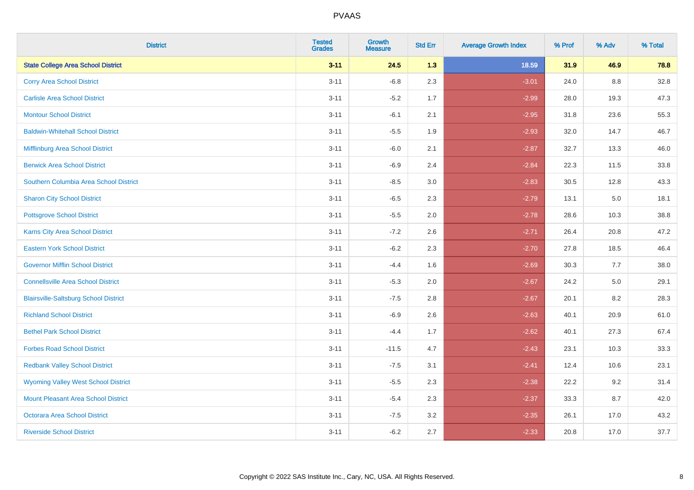| <b>District</b>                              | <b>Tested</b><br><b>Grades</b> | <b>Growth</b><br><b>Measure</b> | <b>Std Err</b> | <b>Average Growth Index</b> | % Prof | % Adv   | % Total |
|----------------------------------------------|--------------------------------|---------------------------------|----------------|-----------------------------|--------|---------|---------|
| <b>State College Area School District</b>    | $3 - 11$                       | 24.5                            | 1.3            | 18.59                       | 31.9   | 46.9    | 78.8    |
| <b>Corry Area School District</b>            | $3 - 11$                       | $-6.8$                          | 2.3            | $-3.01$                     | 24.0   | 8.8     | 32.8    |
| <b>Carlisle Area School District</b>         | $3 - 11$                       | $-5.2$                          | 1.7            | $-2.99$                     | 28.0   | 19.3    | 47.3    |
| <b>Montour School District</b>               | $3 - 11$                       | $-6.1$                          | 2.1            | $-2.95$                     | 31.8   | 23.6    | 55.3    |
| <b>Baldwin-Whitehall School District</b>     | $3 - 11$                       | $-5.5$                          | 1.9            | $-2.93$                     | 32.0   | 14.7    | 46.7    |
| Mifflinburg Area School District             | $3 - 11$                       | $-6.0$                          | 2.1            | $-2.87$                     | 32.7   | 13.3    | 46.0    |
| <b>Berwick Area School District</b>          | $3 - 11$                       | $-6.9$                          | 2.4            | $-2.84$                     | 22.3   | 11.5    | 33.8    |
| Southern Columbia Area School District       | $3 - 11$                       | $-8.5$                          | 3.0            | $-2.83$                     | 30.5   | 12.8    | 43.3    |
| <b>Sharon City School District</b>           | $3 - 11$                       | $-6.5$                          | 2.3            | $-2.79$                     | 13.1   | $5.0\,$ | 18.1    |
| <b>Pottsgrove School District</b>            | $3 - 11$                       | $-5.5$                          | 2.0            | $-2.78$                     | 28.6   | 10.3    | 38.8    |
| Karns City Area School District              | $3 - 11$                       | $-7.2$                          | 2.6            | $-2.71$                     | 26.4   | 20.8    | 47.2    |
| <b>Eastern York School District</b>          | $3 - 11$                       | $-6.2$                          | 2.3            | $-2.70$                     | 27.8   | 18.5    | 46.4    |
| <b>Governor Mifflin School District</b>      | $3 - 11$                       | $-4.4$                          | 1.6            | $-2.69$                     | 30.3   | 7.7     | 38.0    |
| <b>Connellsville Area School District</b>    | $3 - 11$                       | $-5.3$                          | 2.0            | $-2.67$                     | 24.2   | $5.0\,$ | 29.1    |
| <b>Blairsville-Saltsburg School District</b> | $3 - 11$                       | $-7.5$                          | 2.8            | $-2.67$                     | 20.1   | 8.2     | 28.3    |
| <b>Richland School District</b>              | $3 - 11$                       | $-6.9$                          | 2.6            | $-2.63$                     | 40.1   | 20.9    | 61.0    |
| <b>Bethel Park School District</b>           | $3 - 11$                       | $-4.4$                          | 1.7            | $-2.62$                     | 40.1   | 27.3    | 67.4    |
| <b>Forbes Road School District</b>           | $3 - 11$                       | $-11.5$                         | 4.7            | $-2.43$                     | 23.1   | 10.3    | 33.3    |
| <b>Redbank Valley School District</b>        | $3 - 11$                       | $-7.5$                          | 3.1            | $-2.41$                     | 12.4   | 10.6    | 23.1    |
| <b>Wyoming Valley West School District</b>   | $3 - 11$                       | $-5.5$                          | 2.3            | $-2.38$                     | 22.2   | 9.2     | 31.4    |
| <b>Mount Pleasant Area School District</b>   | $3 - 11$                       | $-5.4$                          | 2.3            | $-2.37$                     | 33.3   | 8.7     | 42.0    |
| <b>Octorara Area School District</b>         | $3 - 11$                       | $-7.5$                          | 3.2            | $-2.35$                     | 26.1   | 17.0    | 43.2    |
| <b>Riverside School District</b>             | $3 - 11$                       | $-6.2$                          | 2.7            | $-2.33$                     | 20.8   | 17.0    | 37.7    |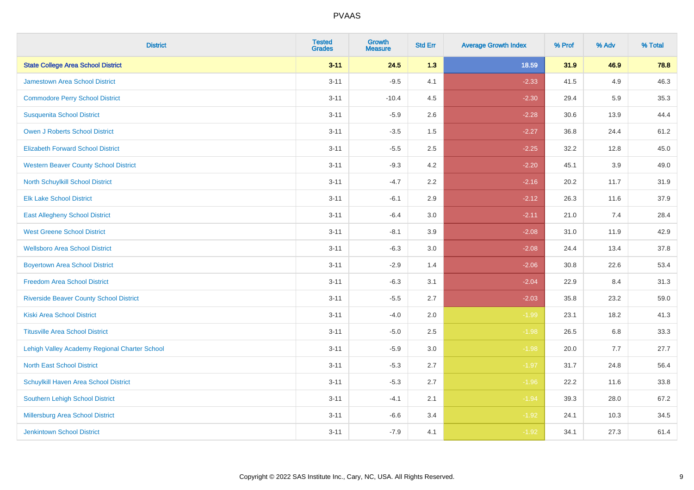| <b>District</b>                                | <b>Tested</b><br><b>Grades</b> | <b>Growth</b><br><b>Measure</b> | <b>Std Err</b> | <b>Average Growth Index</b> | % Prof | % Adv | % Total |
|------------------------------------------------|--------------------------------|---------------------------------|----------------|-----------------------------|--------|-------|---------|
| <b>State College Area School District</b>      | $3 - 11$                       | 24.5                            | 1.3            | 18.59                       | 31.9   | 46.9  | 78.8    |
| <b>Jamestown Area School District</b>          | $3 - 11$                       | $-9.5$                          | 4.1            | $-2.33$                     | 41.5   | 4.9   | 46.3    |
| <b>Commodore Perry School District</b>         | $3 - 11$                       | $-10.4$                         | 4.5            | $-2.30$                     | 29.4   | 5.9   | 35.3    |
| <b>Susquenita School District</b>              | $3 - 11$                       | $-5.9$                          | 2.6            | $-2.28$                     | 30.6   | 13.9  | 44.4    |
| <b>Owen J Roberts School District</b>          | $3 - 11$                       | $-3.5$                          | 1.5            | $-2.27$                     | 36.8   | 24.4  | 61.2    |
| <b>Elizabeth Forward School District</b>       | $3 - 11$                       | $-5.5$                          | 2.5            | $-2.25$                     | 32.2   | 12.8  | 45.0    |
| <b>Western Beaver County School District</b>   | $3 - 11$                       | $-9.3$                          | 4.2            | $-2.20$                     | 45.1   | 3.9   | 49.0    |
| North Schuylkill School District               | $3 - 11$                       | $-4.7$                          | 2.2            | $-2.16$                     | 20.2   | 11.7  | 31.9    |
| <b>Elk Lake School District</b>                | $3 - 11$                       | $-6.1$                          | 2.9            | $-2.12$                     | 26.3   | 11.6  | 37.9    |
| <b>East Allegheny School District</b>          | $3 - 11$                       | $-6.4$                          | 3.0            | $-2.11$                     | 21.0   | 7.4   | 28.4    |
| <b>West Greene School District</b>             | $3 - 11$                       | $-8.1$                          | 3.9            | $-2.08$                     | 31.0   | 11.9  | 42.9    |
| <b>Wellsboro Area School District</b>          | $3 - 11$                       | $-6.3$                          | 3.0            | $-2.08$                     | 24.4   | 13.4  | 37.8    |
| <b>Boyertown Area School District</b>          | $3 - 11$                       | $-2.9$                          | 1.4            | $-2.06$                     | 30.8   | 22.6  | 53.4    |
| <b>Freedom Area School District</b>            | $3 - 11$                       | $-6.3$                          | 3.1            | $-2.04$                     | 22.9   | 8.4   | 31.3    |
| <b>Riverside Beaver County School District</b> | $3 - 11$                       | $-5.5$                          | 2.7            | $-2.03$                     | 35.8   | 23.2  | 59.0    |
| <b>Kiski Area School District</b>              | $3 - 11$                       | $-4.0$                          | 2.0            | $-1.99$                     | 23.1   | 18.2  | 41.3    |
| <b>Titusville Area School District</b>         | $3 - 11$                       | $-5.0$                          | 2.5            | $-1.98$                     | 26.5   | 6.8   | 33.3    |
| Lehigh Valley Academy Regional Charter School  | $3 - 11$                       | $-5.9$                          | 3.0            | $-1.98$                     | 20.0   | 7.7   | 27.7    |
| <b>North East School District</b>              | $3 - 11$                       | $-5.3$                          | 2.7            | $-1.97$                     | 31.7   | 24.8  | 56.4    |
| Schuylkill Haven Area School District          | $3 - 11$                       | $-5.3$                          | 2.7            | $-1.96$                     | 22.2   | 11.6  | 33.8    |
| Southern Lehigh School District                | $3 - 11$                       | $-4.1$                          | 2.1            | $-1.94$                     | 39.3   | 28.0  | 67.2    |
| Millersburg Area School District               | $3 - 11$                       | $-6.6$                          | 3.4            | $-1.92$                     | 24.1   | 10.3  | 34.5    |
| <b>Jenkintown School District</b>              | $3 - 11$                       | $-7.9$                          | 4.1            | $-1.92$                     | 34.1   | 27.3  | 61.4    |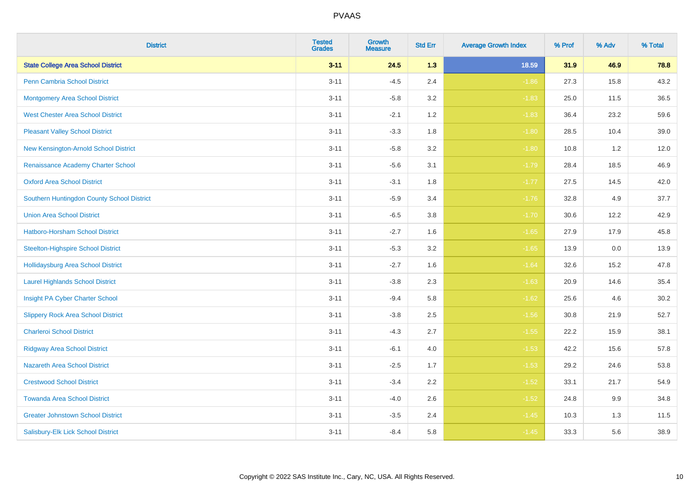| <b>District</b>                            | <b>Tested</b><br><b>Grades</b> | <b>Growth</b><br><b>Measure</b> | <b>Std Err</b> | <b>Average Growth Index</b> | % Prof | % Adv   | % Total |
|--------------------------------------------|--------------------------------|---------------------------------|----------------|-----------------------------|--------|---------|---------|
| <b>State College Area School District</b>  | $3 - 11$                       | 24.5                            | 1.3            | 18.59                       | 31.9   | 46.9    | 78.8    |
| <b>Penn Cambria School District</b>        | $3 - 11$                       | $-4.5$                          | 2.4            | $-1.86$                     | 27.3   | 15.8    | 43.2    |
| <b>Montgomery Area School District</b>     | $3 - 11$                       | $-5.8$                          | 3.2            | $-1.83$                     | 25.0   | 11.5    | 36.5    |
| <b>West Chester Area School District</b>   | $3 - 11$                       | $-2.1$                          | 1.2            | $-1.83$                     | 36.4   | 23.2    | 59.6    |
| <b>Pleasant Valley School District</b>     | $3 - 11$                       | $-3.3$                          | 1.8            | $-1.80$                     | 28.5   | 10.4    | 39.0    |
| New Kensington-Arnold School District      | $3 - 11$                       | $-5.8$                          | 3.2            | $-1.80$                     | 10.8   | 1.2     | 12.0    |
| Renaissance Academy Charter School         | $3 - 11$                       | $-5.6$                          | 3.1            | $-1.79$                     | 28.4   | 18.5    | 46.9    |
| <b>Oxford Area School District</b>         | $3 - 11$                       | $-3.1$                          | 1.8            | $-1.77$                     | 27.5   | 14.5    | 42.0    |
| Southern Huntingdon County School District | $3 - 11$                       | $-5.9$                          | 3.4            | $-1.76$                     | 32.8   | 4.9     | 37.7    |
| <b>Union Area School District</b>          | $3 - 11$                       | $-6.5$                          | 3.8            | $-1.70$                     | 30.6   | 12.2    | 42.9    |
| Hatboro-Horsham School District            | $3 - 11$                       | $-2.7$                          | 1.6            | $-1.65$                     | 27.9   | 17.9    | 45.8    |
| <b>Steelton-Highspire School District</b>  | $3 - 11$                       | $-5.3$                          | 3.2            | $-1.65$                     | 13.9   | 0.0     | 13.9    |
| Hollidaysburg Area School District         | $3 - 11$                       | $-2.7$                          | 1.6            | $-1.64$                     | 32.6   | 15.2    | 47.8    |
| <b>Laurel Highlands School District</b>    | $3 - 11$                       | $-3.8$                          | 2.3            | $-1.63$                     | 20.9   | 14.6    | 35.4    |
| Insight PA Cyber Charter School            | $3 - 11$                       | $-9.4$                          | 5.8            | $-1.62$                     | 25.6   | 4.6     | 30.2    |
| <b>Slippery Rock Area School District</b>  | $3 - 11$                       | $-3.8$                          | 2.5            | $-1.56$                     | 30.8   | 21.9    | 52.7    |
| <b>Charleroi School District</b>           | $3 - 11$                       | $-4.3$                          | 2.7            | $-1.55$                     | 22.2   | 15.9    | 38.1    |
| <b>Ridgway Area School District</b>        | $3 - 11$                       | $-6.1$                          | 4.0            | $-1.53$                     | 42.2   | 15.6    | 57.8    |
| <b>Nazareth Area School District</b>       | $3 - 11$                       | $-2.5$                          | 1.7            | $-1.53$                     | 29.2   | 24.6    | 53.8    |
| <b>Crestwood School District</b>           | $3 - 11$                       | $-3.4$                          | 2.2            | $-1.52$                     | 33.1   | 21.7    | 54.9    |
| <b>Towanda Area School District</b>        | $3 - 11$                       | $-4.0$                          | 2.6            | $-1.52$                     | 24.8   | $9.9\,$ | 34.8    |
| <b>Greater Johnstown School District</b>   | $3 - 11$                       | $-3.5$                          | 2.4            | $-1.45$                     | 10.3   | 1.3     | 11.5    |
| Salisbury-Elk Lick School District         | $3 - 11$                       | $-8.4$                          | 5.8            | $-1.45$                     | 33.3   | 5.6     | 38.9    |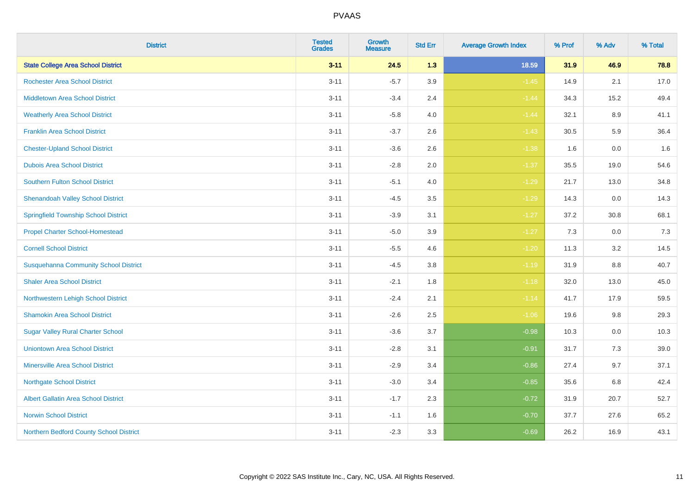| <b>District</b>                              | <b>Tested</b><br><b>Grades</b> | <b>Growth</b><br><b>Measure</b> | <b>Std Err</b> | <b>Average Growth Index</b> | % Prof | % Adv   | % Total |
|----------------------------------------------|--------------------------------|---------------------------------|----------------|-----------------------------|--------|---------|---------|
| <b>State College Area School District</b>    | $3 - 11$                       | 24.5                            | 1.3            | 18.59                       | 31.9   | 46.9    | 78.8    |
| <b>Rochester Area School District</b>        | $3 - 11$                       | $-5.7$                          | 3.9            | $-1.45$                     | 14.9   | 2.1     | 17.0    |
| <b>Middletown Area School District</b>       | $3 - 11$                       | $-3.4$                          | 2.4            | $-1.44$                     | 34.3   | 15.2    | 49.4    |
| <b>Weatherly Area School District</b>        | $3 - 11$                       | $-5.8$                          | 4.0            | $-1.44$                     | 32.1   | 8.9     | 41.1    |
| <b>Franklin Area School District</b>         | $3 - 11$                       | $-3.7$                          | 2.6            | $-1.43$                     | 30.5   | 5.9     | 36.4    |
| <b>Chester-Upland School District</b>        | $3 - 11$                       | $-3.6$                          | 2.6            | $-1.38$                     | 1.6    | 0.0     | 1.6     |
| <b>Dubois Area School District</b>           | $3 - 11$                       | $-2.8$                          | 2.0            | $-1.37$                     | 35.5   | 19.0    | 54.6    |
| <b>Southern Fulton School District</b>       | $3 - 11$                       | $-5.1$                          | 4.0            | $-1.29$                     | 21.7   | 13.0    | 34.8    |
| <b>Shenandoah Valley School District</b>     | $3 - 11$                       | $-4.5$                          | 3.5            | $-1.29$                     | 14.3   | 0.0     | 14.3    |
| <b>Springfield Township School District</b>  | $3 - 11$                       | $-3.9$                          | 3.1            | $-1.27$                     | 37.2   | 30.8    | 68.1    |
| <b>Propel Charter School-Homestead</b>       | $3 - 11$                       | $-5.0$                          | 3.9            | $-1.27$                     | 7.3    | 0.0     | 7.3     |
| <b>Cornell School District</b>               | $3 - 11$                       | $-5.5$                          | 4.6            | $-1.20$                     | 11.3   | 3.2     | 14.5    |
| <b>Susquehanna Community School District</b> | $3 - 11$                       | $-4.5$                          | $3.8\,$        | $-1.19$                     | 31.9   | 8.8     | 40.7    |
| <b>Shaler Area School District</b>           | $3 - 11$                       | $-2.1$                          | 1.8            | $-1.18$                     | 32.0   | 13.0    | 45.0    |
| Northwestern Lehigh School District          | $3 - 11$                       | $-2.4$                          | 2.1            | $-1.14$                     | 41.7   | 17.9    | 59.5    |
| <b>Shamokin Area School District</b>         | $3 - 11$                       | $-2.6$                          | 2.5            | $-1.06$                     | 19.6   | $9.8\,$ | 29.3    |
| <b>Sugar Valley Rural Charter School</b>     | $3 - 11$                       | $-3.6$                          | 3.7            | $-0.98$                     | 10.3   | 0.0     | 10.3    |
| <b>Uniontown Area School District</b>        | $3 - 11$                       | $-2.8$                          | 3.1            | $-0.91$                     | 31.7   | 7.3     | 39.0    |
| <b>Minersville Area School District</b>      | $3 - 11$                       | $-2.9$                          | 3.4            | $-0.86$                     | 27.4   | 9.7     | 37.1    |
| <b>Northgate School District</b>             | $3 - 11$                       | $-3.0$                          | 3.4            | $-0.85$                     | 35.6   | $6.8\,$ | 42.4    |
| Albert Gallatin Area School District         | $3 - 11$                       | $-1.7$                          | 2.3            | $-0.72$                     | 31.9   | 20.7    | 52.7    |
| <b>Norwin School District</b>                | $3 - 11$                       | $-1.1$                          | 1.6            | $-0.70$                     | 37.7   | 27.6    | 65.2    |
| Northern Bedford County School District      | $3 - 11$                       | $-2.3$                          | 3.3            | $-0.69$                     | 26.2   | 16.9    | 43.1    |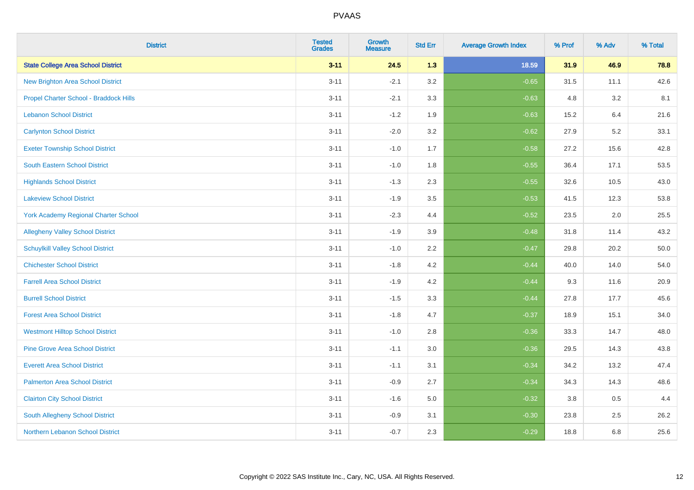| <b>District</b>                             | <b>Tested</b><br><b>Grades</b> | <b>Growth</b><br><b>Measure</b> | <b>Std Err</b> | <b>Average Growth Index</b> | % Prof | % Adv | % Total |
|---------------------------------------------|--------------------------------|---------------------------------|----------------|-----------------------------|--------|-------|---------|
| <b>State College Area School District</b>   | $3 - 11$                       | 24.5                            | 1.3            | 18.59                       | 31.9   | 46.9  | 78.8    |
| <b>New Brighton Area School District</b>    | $3 - 11$                       | $-2.1$                          | 3.2            | $-0.65$                     | 31.5   | 11.1  | 42.6    |
| Propel Charter School - Braddock Hills      | $3 - 11$                       | $-2.1$                          | 3.3            | $-0.63$                     | 4.8    | 3.2   | 8.1     |
| <b>Lebanon School District</b>              | $3 - 11$                       | $-1.2$                          | 1.9            | $-0.63$                     | 15.2   | 6.4   | 21.6    |
| <b>Carlynton School District</b>            | $3 - 11$                       | $-2.0$                          | 3.2            | $-0.62$                     | 27.9   | 5.2   | 33.1    |
| <b>Exeter Township School District</b>      | $3 - 11$                       | $-1.0$                          | 1.7            | $-0.58$                     | 27.2   | 15.6  | 42.8    |
| South Eastern School District               | $3 - 11$                       | $-1.0$                          | 1.8            | $-0.55$                     | 36.4   | 17.1  | 53.5    |
| <b>Highlands School District</b>            | $3 - 11$                       | $-1.3$                          | 2.3            | $-0.55$                     | 32.6   | 10.5  | 43.0    |
| <b>Lakeview School District</b>             | $3 - 11$                       | $-1.9$                          | 3.5            | $-0.53$                     | 41.5   | 12.3  | 53.8    |
| <b>York Academy Regional Charter School</b> | $3 - 11$                       | $-2.3$                          | 4.4            | $-0.52$                     | 23.5   | 2.0   | 25.5    |
| <b>Allegheny Valley School District</b>     | $3 - 11$                       | $-1.9$                          | 3.9            | $-0.48$                     | 31.8   | 11.4  | 43.2    |
| <b>Schuylkill Valley School District</b>    | $3 - 11$                       | $-1.0$                          | 2.2            | $-0.47$                     | 29.8   | 20.2  | 50.0    |
| <b>Chichester School District</b>           | $3 - 11$                       | $-1.8$                          | 4.2            | $-0.44$                     | 40.0   | 14.0  | 54.0    |
| <b>Farrell Area School District</b>         | $3 - 11$                       | $-1.9$                          | 4.2            | $-0.44$                     | 9.3    | 11.6  | 20.9    |
| <b>Burrell School District</b>              | $3 - 11$                       | $-1.5$                          | 3.3            | $-0.44$                     | 27.8   | 17.7  | 45.6    |
| <b>Forest Area School District</b>          | $3 - 11$                       | $-1.8$                          | 4.7            | $-0.37$                     | 18.9   | 15.1  | 34.0    |
| <b>Westmont Hilltop School District</b>     | $3 - 11$                       | $-1.0$                          | 2.8            | $-0.36$                     | 33.3   | 14.7  | 48.0    |
| <b>Pine Grove Area School District</b>      | $3 - 11$                       | $-1.1$                          | 3.0            | $-0.36$                     | 29.5   | 14.3  | 43.8    |
| <b>Everett Area School District</b>         | $3 - 11$                       | $-1.1$                          | 3.1            | $-0.34$                     | 34.2   | 13.2  | 47.4    |
| <b>Palmerton Area School District</b>       | $3 - 11$                       | $-0.9$                          | 2.7            | $-0.34$                     | 34.3   | 14.3  | 48.6    |
| <b>Clairton City School District</b>        | $3 - 11$                       | $-1.6$                          | 5.0            | $-0.32$                     | 3.8    | 0.5   | 4.4     |
| South Allegheny School District             | $3 - 11$                       | $-0.9$                          | 3.1            | $-0.30$                     | 23.8   | 2.5   | 26.2    |
| Northern Lebanon School District            | $3 - 11$                       | $-0.7$                          | 2.3            | $-0.29$                     | 18.8   | 6.8   | 25.6    |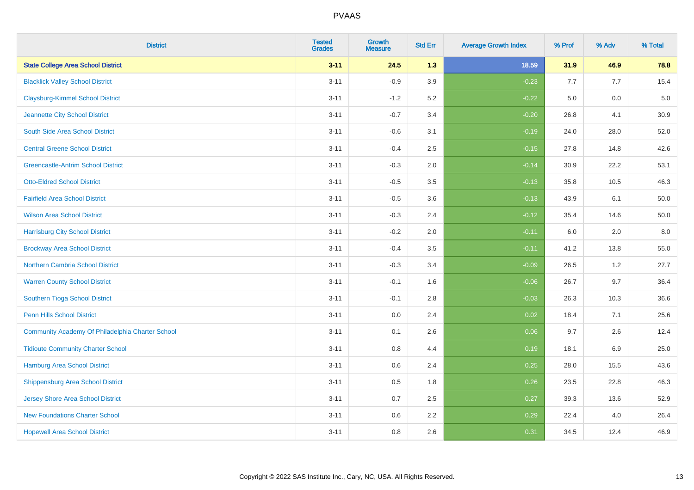| <b>District</b>                                  | <b>Tested</b><br><b>Grades</b> | <b>Growth</b><br><b>Measure</b> | <b>Std Err</b> | <b>Average Growth Index</b> | % Prof | % Adv   | % Total |
|--------------------------------------------------|--------------------------------|---------------------------------|----------------|-----------------------------|--------|---------|---------|
| <b>State College Area School District</b>        | $3 - 11$                       | 24.5                            | 1.3            | 18.59                       | 31.9   | 46.9    | 78.8    |
| <b>Blacklick Valley School District</b>          | $3 - 11$                       | $-0.9$                          | 3.9            | $-0.23$                     | 7.7    | 7.7     | 15.4    |
| <b>Claysburg-Kimmel School District</b>          | $3 - 11$                       | $-1.2$                          | 5.2            | $-0.22$                     | 5.0    | 0.0     | $5.0$   |
| Jeannette City School District                   | $3 - 11$                       | $-0.7$                          | 3.4            | $-0.20$                     | 26.8   | 4.1     | 30.9    |
| South Side Area School District                  | $3 - 11$                       | $-0.6$                          | 3.1            | $-0.19$                     | 24.0   | 28.0    | 52.0    |
| <b>Central Greene School District</b>            | $3 - 11$                       | $-0.4$                          | 2.5            | $-0.15$                     | 27.8   | 14.8    | 42.6    |
| <b>Greencastle-Antrim School District</b>        | $3 - 11$                       | $-0.3$                          | 2.0            | $-0.14$                     | 30.9   | 22.2    | 53.1    |
| <b>Otto-Eldred School District</b>               | $3 - 11$                       | $-0.5$                          | 3.5            | $-0.13$                     | 35.8   | 10.5    | 46.3    |
| <b>Fairfield Area School District</b>            | $3 - 11$                       | $-0.5$                          | 3.6            | $-0.13$                     | 43.9   | 6.1     | 50.0    |
| <b>Wilson Area School District</b>               | $3 - 11$                       | $-0.3$                          | 2.4            | $-0.12$                     | 35.4   | 14.6    | 50.0    |
| <b>Harrisburg City School District</b>           | $3 - 11$                       | $-0.2$                          | 2.0            | $-0.11$                     | 6.0    | 2.0     | 8.0     |
| <b>Brockway Area School District</b>             | $3 - 11$                       | $-0.4$                          | 3.5            | $-0.11$                     | 41.2   | 13.8    | 55.0    |
| Northern Cambria School District                 | $3 - 11$                       | $-0.3$                          | 3.4            | $-0.09$                     | 26.5   | $1.2\,$ | 27.7    |
| <b>Warren County School District</b>             | $3 - 11$                       | $-0.1$                          | 1.6            | $-0.06$                     | 26.7   | 9.7     | 36.4    |
| Southern Tioga School District                   | $3 - 11$                       | $-0.1$                          | 2.8            | $-0.03$                     | 26.3   | 10.3    | 36.6    |
| Penn Hills School District                       | $3 - 11$                       | 0.0                             | 2.4            | 0.02                        | 18.4   | 7.1     | 25.6    |
| Community Academy Of Philadelphia Charter School | $3 - 11$                       | 0.1                             | 2.6            | 0.06                        | 9.7    | 2.6     | 12.4    |
| <b>Tidioute Community Charter School</b>         | $3 - 11$                       | 0.8                             | 4.4            | 0.19                        | 18.1   | 6.9     | 25.0    |
| Hamburg Area School District                     | $3 - 11$                       | $0.6\,$                         | 2.4            | 0.25                        | 28.0   | 15.5    | 43.6    |
| <b>Shippensburg Area School District</b>         | $3 - 11$                       | 0.5                             | 1.8            | 0.26                        | 23.5   | 22.8    | 46.3    |
| <b>Jersey Shore Area School District</b>         | $3 - 11$                       | 0.7                             | 2.5            | 0.27                        | 39.3   | 13.6    | 52.9    |
| <b>New Foundations Charter School</b>            | $3 - 11$                       | 0.6                             | 2.2            | 0.29                        | 22.4   | 4.0     | 26.4    |
| <b>Hopewell Area School District</b>             | $3 - 11$                       | 0.8                             | 2.6            | 0.31                        | 34.5   | 12.4    | 46.9    |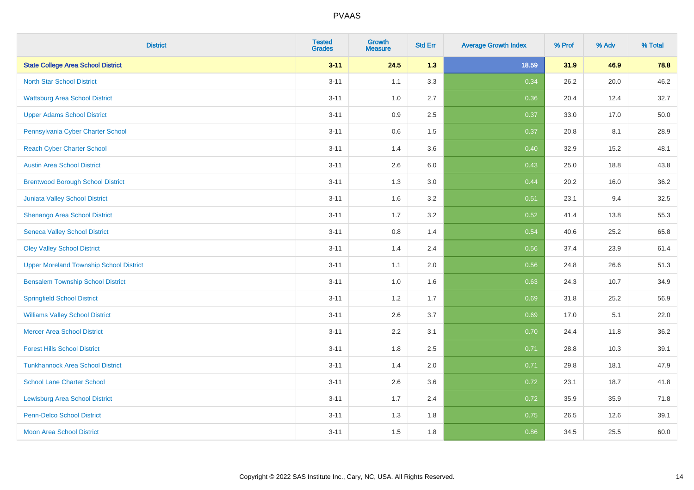| <b>District</b>                                | <b>Tested</b><br><b>Grades</b> | <b>Growth</b><br><b>Measure</b> | <b>Std Err</b> | <b>Average Growth Index</b> | % Prof | % Adv | % Total |
|------------------------------------------------|--------------------------------|---------------------------------|----------------|-----------------------------|--------|-------|---------|
| <b>State College Area School District</b>      | $3 - 11$                       | 24.5                            | 1.3            | 18.59                       | 31.9   | 46.9  | 78.8    |
| <b>North Star School District</b>              | $3 - 11$                       | 1.1                             | 3.3            | 0.34                        | 26.2   | 20.0  | 46.2    |
| <b>Wattsburg Area School District</b>          | $3 - 11$                       | 1.0                             | 2.7            | 0.36                        | 20.4   | 12.4  | 32.7    |
| <b>Upper Adams School District</b>             | $3 - 11$                       | 0.9                             | 2.5            | 0.37                        | 33.0   | 17.0  | 50.0    |
| Pennsylvania Cyber Charter School              | $3 - 11$                       | 0.6                             | 1.5            | 0.37                        | 20.8   | 8.1   | 28.9    |
| <b>Reach Cyber Charter School</b>              | $3 - 11$                       | 1.4                             | 3.6            | 0.40                        | 32.9   | 15.2  | 48.1    |
| <b>Austin Area School District</b>             | $3 - 11$                       | 2.6                             | 6.0            | 0.43                        | 25.0   | 18.8  | 43.8    |
| <b>Brentwood Borough School District</b>       | $3 - 11$                       | 1.3                             | 3.0            | 0.44                        | 20.2   | 16.0  | 36.2    |
| <b>Juniata Valley School District</b>          | $3 - 11$                       | 1.6                             | 3.2            | 0.51                        | 23.1   | 9.4   | 32.5    |
| Shenango Area School District                  | $3 - 11$                       | 1.7                             | 3.2            | 0.52                        | 41.4   | 13.8  | 55.3    |
| <b>Seneca Valley School District</b>           | $3 - 11$                       | $0.8\,$                         | 1.4            | 0.54                        | 40.6   | 25.2  | 65.8    |
| <b>Oley Valley School District</b>             | $3 - 11$                       | 1.4                             | 2.4            | 0.56                        | 37.4   | 23.9  | 61.4    |
| <b>Upper Moreland Township School District</b> | $3 - 11$                       | 1.1                             | 2.0            | 0.56                        | 24.8   | 26.6  | 51.3    |
| <b>Bensalem Township School District</b>       | $3 - 11$                       | 1.0                             | 1.6            | 0.63                        | 24.3   | 10.7  | 34.9    |
| <b>Springfield School District</b>             | $3 - 11$                       | 1.2                             | 1.7            | 0.69                        | 31.8   | 25.2  | 56.9    |
| <b>Williams Valley School District</b>         | $3 - 11$                       | 2.6                             | 3.7            | 0.69                        | 17.0   | 5.1   | 22.0    |
| <b>Mercer Area School District</b>             | $3 - 11$                       | 2.2                             | 3.1            | 0.70                        | 24.4   | 11.8  | 36.2    |
| <b>Forest Hills School District</b>            | $3 - 11$                       | 1.8                             | 2.5            | 0.71                        | 28.8   | 10.3  | 39.1    |
| <b>Tunkhannock Area School District</b>        | $3 - 11$                       | 1.4                             | 2.0            | 0.71                        | 29.8   | 18.1  | 47.9    |
| <b>School Lane Charter School</b>              | $3 - 11$                       | 2.6                             | 3.6            | 0.72                        | 23.1   | 18.7  | 41.8    |
| <b>Lewisburg Area School District</b>          | $3 - 11$                       | 1.7                             | 2.4            | 0.72                        | 35.9   | 35.9  | 71.8    |
| <b>Penn-Delco School District</b>              | $3 - 11$                       | 1.3                             | 1.8            | 0.75                        | 26.5   | 12.6  | 39.1    |
| <b>Moon Area School District</b>               | $3 - 11$                       | 1.5                             | 1.8            | 0.86                        | 34.5   | 25.5  | 60.0    |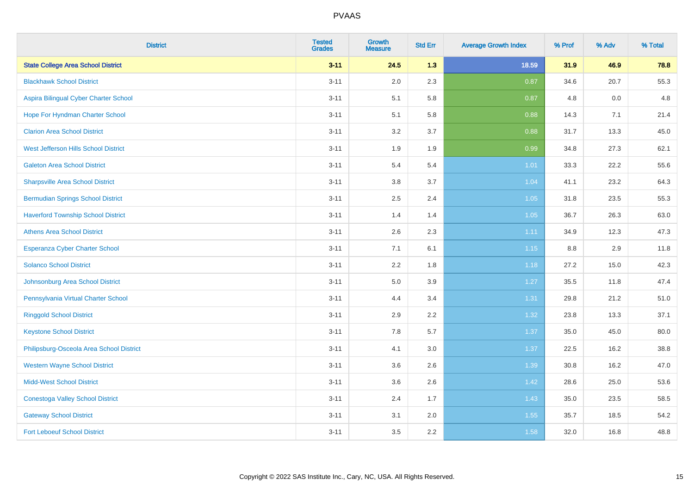| <b>District</b>                           | <b>Tested</b><br><b>Grades</b> | <b>Growth</b><br><b>Measure</b> | <b>Std Err</b> | <b>Average Growth Index</b> | % Prof | % Adv | % Total |
|-------------------------------------------|--------------------------------|---------------------------------|----------------|-----------------------------|--------|-------|---------|
| <b>State College Area School District</b> | $3 - 11$                       | 24.5                            | 1.3            | 18.59                       | 31.9   | 46.9  | 78.8    |
| <b>Blackhawk School District</b>          | $3 - 11$                       | 2.0                             | 2.3            | 0.87                        | 34.6   | 20.7  | 55.3    |
| Aspira Bilingual Cyber Charter School     | $3 - 11$                       | 5.1                             | 5.8            | 0.87                        | 4.8    | 0.0   | 4.8     |
| Hope For Hyndman Charter School           | $3 - 11$                       | 5.1                             | 5.8            | 0.88                        | 14.3   | 7.1   | 21.4    |
| <b>Clarion Area School District</b>       | $3 - 11$                       | 3.2                             | 3.7            | 0.88                        | 31.7   | 13.3  | 45.0    |
| West Jefferson Hills School District      | $3 - 11$                       | 1.9                             | 1.9            | 0.99                        | 34.8   | 27.3  | 62.1    |
| <b>Galeton Area School District</b>       | $3 - 11$                       | 5.4                             | 5.4            | 1.01                        | 33.3   | 22.2  | 55.6    |
| <b>Sharpsville Area School District</b>   | $3 - 11$                       | 3.8                             | 3.7            | 1.04                        | 41.1   | 23.2  | 64.3    |
| <b>Bermudian Springs School District</b>  | $3 - 11$                       | 2.5                             | 2.4            | 1.05                        | 31.8   | 23.5  | 55.3    |
| <b>Haverford Township School District</b> | $3 - 11$                       | 1.4                             | 1.4            | 1.05                        | 36.7   | 26.3  | 63.0    |
| <b>Athens Area School District</b>        | $3 - 11$                       | 2.6                             | 2.3            | 1.11                        | 34.9   | 12.3  | 47.3    |
| <b>Esperanza Cyber Charter School</b>     | $3 - 11$                       | 7.1                             | 6.1            | $1.15$                      | 8.8    | 2.9   | 11.8    |
| <b>Solanco School District</b>            | $3 - 11$                       | 2.2                             | 1.8            | 1.18                        | 27.2   | 15.0  | 42.3    |
| Johnsonburg Area School District          | $3 - 11$                       | $5.0\,$                         | 3.9            | 1.27                        | 35.5   | 11.8  | 47.4    |
| Pennsylvania Virtual Charter School       | $3 - 11$                       | 4.4                             | 3.4            | 1.31                        | 29.8   | 21.2  | 51.0    |
| <b>Ringgold School District</b>           | $3 - 11$                       | 2.9                             | 2.2            | 1.32                        | 23.8   | 13.3  | 37.1    |
| <b>Keystone School District</b>           | $3 - 11$                       | 7.8                             | 5.7            | 1.37                        | 35.0   | 45.0  | 80.0    |
| Philipsburg-Osceola Area School District  | $3 - 11$                       | 4.1                             | 3.0            | 1.37                        | 22.5   | 16.2  | 38.8    |
| <b>Western Wayne School District</b>      | $3 - 11$                       | 3.6                             | 2.6            | 1.39                        | 30.8   | 16.2  | 47.0    |
| <b>Midd-West School District</b>          | $3 - 11$                       | 3.6                             | 2.6            | 1.42                        | 28.6   | 25.0  | 53.6    |
| <b>Conestoga Valley School District</b>   | $3 - 11$                       | 2.4                             | 1.7            | 1.43                        | 35.0   | 23.5  | 58.5    |
| <b>Gateway School District</b>            | $3 - 11$                       | 3.1                             | 2.0            | 1.55                        | 35.7   | 18.5  | 54.2    |
| <b>Fort Leboeuf School District</b>       | $3 - 11$                       | 3.5                             | 2.2            | 1.58                        | 32.0   | 16.8  | 48.8    |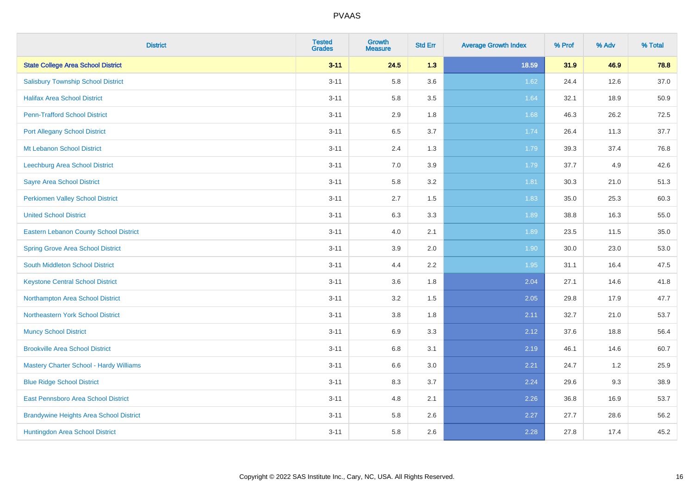| <b>District</b>                                | <b>Tested</b><br><b>Grades</b> | <b>Growth</b><br><b>Measure</b> | <b>Std Err</b> | <b>Average Growth Index</b> | % Prof | % Adv | % Total |
|------------------------------------------------|--------------------------------|---------------------------------|----------------|-----------------------------|--------|-------|---------|
| <b>State College Area School District</b>      | $3 - 11$                       | 24.5                            | 1.3            | 18.59                       | 31.9   | 46.9  | 78.8    |
| <b>Salisbury Township School District</b>      | $3 - 11$                       | 5.8                             | 3.6            | 1.62                        | 24.4   | 12.6  | 37.0    |
| <b>Halifax Area School District</b>            | $3 - 11$                       | 5.8                             | 3.5            | 1.64                        | 32.1   | 18.9  | 50.9    |
| <b>Penn-Trafford School District</b>           | $3 - 11$                       | 2.9                             | 1.8            | 1.68                        | 46.3   | 26.2  | 72.5    |
| <b>Port Allegany School District</b>           | $3 - 11$                       | 6.5                             | 3.7            | 1.74                        | 26.4   | 11.3  | 37.7    |
| Mt Lebanon School District                     | $3 - 11$                       | 2.4                             | 1.3            | 1.79                        | 39.3   | 37.4  | 76.8    |
| Leechburg Area School District                 | $3 - 11$                       | 7.0                             | 3.9            | 1.79                        | 37.7   | 4.9   | 42.6    |
| <b>Sayre Area School District</b>              | $3 - 11$                       | 5.8                             | 3.2            | 1.81                        | 30.3   | 21.0  | 51.3    |
| Perkiomen Valley School District               | $3 - 11$                       | 2.7                             | 1.5            | 1.83                        | 35.0   | 25.3  | 60.3    |
| <b>United School District</b>                  | $3 - 11$                       | 6.3                             | 3.3            | 1.89                        | 38.8   | 16.3  | 55.0    |
| Eastern Lebanon County School District         | $3 - 11$                       | 4.0                             | 2.1            | 1.89                        | 23.5   | 11.5  | 35.0    |
| <b>Spring Grove Area School District</b>       | $3 - 11$                       | 3.9                             | 2.0            | 1.90                        | 30.0   | 23.0  | 53.0    |
| South Middleton School District                | $3 - 11$                       | 4.4                             | 2.2            | 1.95                        | 31.1   | 16.4  | 47.5    |
| <b>Keystone Central School District</b>        | $3 - 11$                       | 3.6                             | 1.8            | 2.04                        | 27.1   | 14.6  | 41.8    |
| Northampton Area School District               | $3 - 11$                       | 3.2                             | 1.5            | 2.05                        | 29.8   | 17.9  | 47.7    |
| Northeastern York School District              | $3 - 11$                       | $3.8\,$                         | 1.8            | 2.11                        | 32.7   | 21.0  | 53.7    |
| <b>Muncy School District</b>                   | $3 - 11$                       | 6.9                             | 3.3            | 2.12                        | 37.6   | 18.8  | 56.4    |
| <b>Brookville Area School District</b>         | $3 - 11$                       | 6.8                             | 3.1            | 2.19                        | 46.1   | 14.6  | 60.7    |
| <b>Mastery Charter School - Hardy Williams</b> | $3 - 11$                       | 6.6                             | 3.0            | 2.21                        | 24.7   | 1.2   | 25.9    |
| <b>Blue Ridge School District</b>              | $3 - 11$                       | 8.3                             | 3.7            | 2.24                        | 29.6   | 9.3   | 38.9    |
| East Pennsboro Area School District            | $3 - 11$                       | 4.8                             | 2.1            | 2.26                        | 36.8   | 16.9  | 53.7    |
| <b>Brandywine Heights Area School District</b> | $3 - 11$                       | 5.8                             | 2.6            | 2.27                        | 27.7   | 28.6  | 56.2    |
| Huntingdon Area School District                | $3 - 11$                       | 5.8                             | 2.6            | 2.28                        | 27.8   | 17.4  | 45.2    |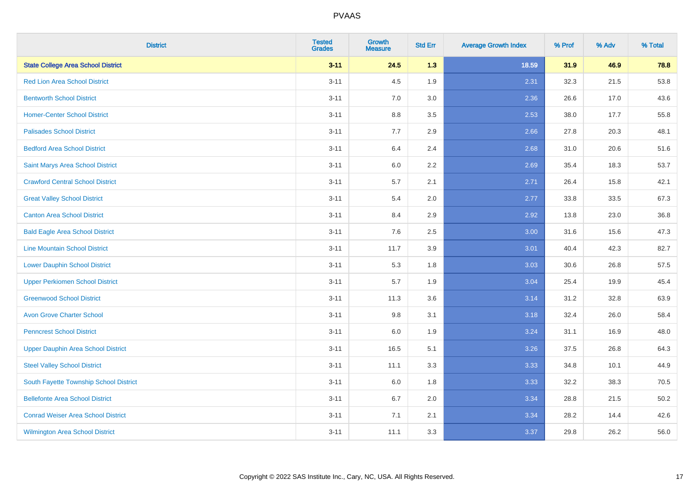| <b>District</b>                           | <b>Tested</b><br><b>Grades</b> | <b>Growth</b><br><b>Measure</b> | <b>Std Err</b> | <b>Average Growth Index</b> | % Prof | % Adv | % Total |
|-------------------------------------------|--------------------------------|---------------------------------|----------------|-----------------------------|--------|-------|---------|
| <b>State College Area School District</b> | $3 - 11$                       | 24.5                            | 1.3            | 18.59                       | 31.9   | 46.9  | 78.8    |
| <b>Red Lion Area School District</b>      | $3 - 11$                       | 4.5                             | 1.9            | 2.31                        | 32.3   | 21.5  | 53.8    |
| <b>Bentworth School District</b>          | $3 - 11$                       | 7.0                             | 3.0            | 2.36                        | 26.6   | 17.0  | 43.6    |
| <b>Homer-Center School District</b>       | $3 - 11$                       | 8.8                             | 3.5            | 2.53                        | 38.0   | 17.7  | 55.8    |
| <b>Palisades School District</b>          | $3 - 11$                       | 7.7                             | 2.9            | 2.66                        | 27.8   | 20.3  | 48.1    |
| <b>Bedford Area School District</b>       | $3 - 11$                       | 6.4                             | 2.4            | 2.68                        | 31.0   | 20.6  | 51.6    |
| Saint Marys Area School District          | $3 - 11$                       | 6.0                             | 2.2            | 2.69                        | 35.4   | 18.3  | 53.7    |
| <b>Crawford Central School District</b>   | $3 - 11$                       | 5.7                             | 2.1            | 2.71                        | 26.4   | 15.8  | 42.1    |
| <b>Great Valley School District</b>       | $3 - 11$                       | 5.4                             | 2.0            | 2.77                        | 33.8   | 33.5  | 67.3    |
| <b>Canton Area School District</b>        | $3 - 11$                       | 8.4                             | 2.9            | 2.92                        | 13.8   | 23.0  | 36.8    |
| <b>Bald Eagle Area School District</b>    | $3 - 11$                       | 7.6                             | 2.5            | 3.00                        | 31.6   | 15.6  | 47.3    |
| <b>Line Mountain School District</b>      | $3 - 11$                       | 11.7                            | 3.9            | 3.01                        | 40.4   | 42.3  | 82.7    |
| <b>Lower Dauphin School District</b>      | $3 - 11$                       | 5.3                             | 1.8            | 3.03                        | 30.6   | 26.8  | 57.5    |
| <b>Upper Perkiomen School District</b>    | $3 - 11$                       | 5.7                             | 1.9            | 3.04                        | 25.4   | 19.9  | 45.4    |
| <b>Greenwood School District</b>          | $3 - 11$                       | 11.3                            | 3.6            | 3.14                        | 31.2   | 32.8  | 63.9    |
| <b>Avon Grove Charter School</b>          | $3 - 11$                       | 9.8                             | 3.1            | 3.18                        | 32.4   | 26.0  | 58.4    |
| <b>Penncrest School District</b>          | $3 - 11$                       | 6.0                             | 1.9            | 3.24                        | 31.1   | 16.9  | 48.0    |
| <b>Upper Dauphin Area School District</b> | $3 - 11$                       | 16.5                            | 5.1            | 3.26                        | 37.5   | 26.8  | 64.3    |
| <b>Steel Valley School District</b>       | $3 - 11$                       | 11.1                            | 3.3            | 3.33                        | 34.8   | 10.1  | 44.9    |
| South Fayette Township School District    | $3 - 11$                       | 6.0                             | 1.8            | 3.33                        | 32.2   | 38.3  | 70.5    |
| <b>Bellefonte Area School District</b>    | $3 - 11$                       | 6.7                             | 2.0            | 3.34                        | 28.8   | 21.5  | 50.2    |
| <b>Conrad Weiser Area School District</b> | $3 - 11$                       | 7.1                             | 2.1            | 3.34                        | 28.2   | 14.4  | 42.6    |
| <b>Wilmington Area School District</b>    | $3 - 11$                       | 11.1                            | 3.3            | 3.37                        | 29.8   | 26.2  | 56.0    |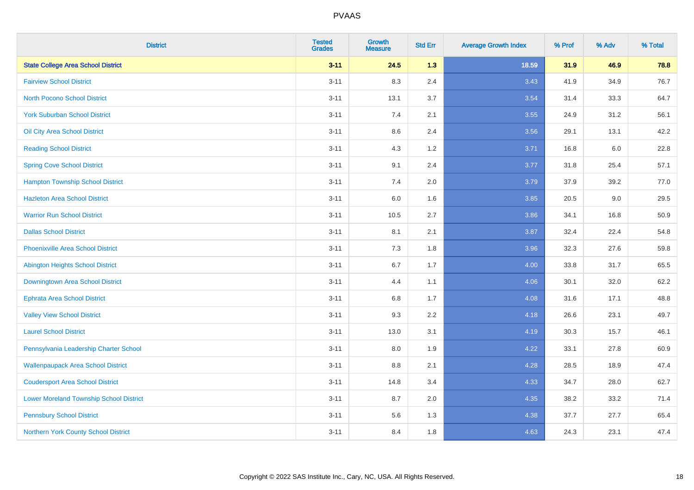| <b>District</b>                                | <b>Tested</b><br><b>Grades</b> | Growth<br><b>Measure</b> | <b>Std Err</b> | <b>Average Growth Index</b> | % Prof | % Adv   | % Total |
|------------------------------------------------|--------------------------------|--------------------------|----------------|-----------------------------|--------|---------|---------|
| <b>State College Area School District</b>      | $3 - 11$                       | 24.5                     | 1.3            | 18.59                       | 31.9   | 46.9    | 78.8    |
| <b>Fairview School District</b>                | $3 - 11$                       | 8.3                      | 2.4            | 3.43                        | 41.9   | 34.9    | 76.7    |
| <b>North Pocono School District</b>            | $3 - 11$                       | 13.1                     | 3.7            | 3.54                        | 31.4   | 33.3    | 64.7    |
| <b>York Suburban School District</b>           | $3 - 11$                       | 7.4                      | 2.1            | 3.55                        | 24.9   | 31.2    | 56.1    |
| Oil City Area School District                  | $3 - 11$                       | 8.6                      | 2.4            | 3.56                        | 29.1   | 13.1    | 42.2    |
| <b>Reading School District</b>                 | $3 - 11$                       | 4.3                      | 1.2            | 3.71                        | 16.8   | $6.0\,$ | 22.8    |
| <b>Spring Cove School District</b>             | $3 - 11$                       | 9.1                      | 2.4            | 3.77                        | 31.8   | 25.4    | 57.1    |
| <b>Hampton Township School District</b>        | $3 - 11$                       | 7.4                      | 2.0            | 3.79                        | 37.9   | 39.2    | 77.0    |
| <b>Hazleton Area School District</b>           | $3 - 11$                       | 6.0                      | 1.6            | 3.85                        | 20.5   | 9.0     | 29.5    |
| <b>Warrior Run School District</b>             | $3 - 11$                       | 10.5                     | 2.7            | 3.86                        | 34.1   | 16.8    | 50.9    |
| <b>Dallas School District</b>                  | $3 - 11$                       | 8.1                      | 2.1            | 3.87                        | 32.4   | 22.4    | 54.8    |
| <b>Phoenixville Area School District</b>       | $3 - 11$                       | 7.3                      | 1.8            | 3.96                        | 32.3   | 27.6    | 59.8    |
| Abington Heights School District               | $3 - 11$                       | 6.7                      | 1.7            | 4.00                        | 33.8   | 31.7    | 65.5    |
| Downingtown Area School District               | $3 - 11$                       | 4.4                      | 1.1            | 4.06                        | 30.1   | 32.0    | 62.2    |
| <b>Ephrata Area School District</b>            | $3 - 11$                       | 6.8                      | 1.7            | 4.08                        | 31.6   | 17.1    | 48.8    |
| <b>Valley View School District</b>             | $3 - 11$                       | 9.3                      | 2.2            | 4.18                        | 26.6   | 23.1    | 49.7    |
| <b>Laurel School District</b>                  | $3 - 11$                       | 13.0                     | 3.1            | 4.19                        | 30.3   | 15.7    | 46.1    |
| Pennsylvania Leadership Charter School         | $3 - 11$                       | 8.0                      | 1.9            | 4.22                        | 33.1   | 27.8    | 60.9    |
| <b>Wallenpaupack Area School District</b>      | $3 - 11$                       | 8.8                      | 2.1            | 4.28                        | 28.5   | 18.9    | 47.4    |
| <b>Coudersport Area School District</b>        | $3 - 11$                       | 14.8                     | 3.4            | 4.33                        | 34.7   | 28.0    | 62.7    |
| <b>Lower Moreland Township School District</b> | $3 - 11$                       | 8.7                      | 2.0            | 4.35                        | 38.2   | 33.2    | 71.4    |
| <b>Pennsbury School District</b>               | $3 - 11$                       | 5.6                      | 1.3            | 4.38                        | 37.7   | 27.7    | 65.4    |
| Northern York County School District           | $3 - 11$                       | 8.4                      | 1.8            | 4.63                        | 24.3   | 23.1    | 47.4    |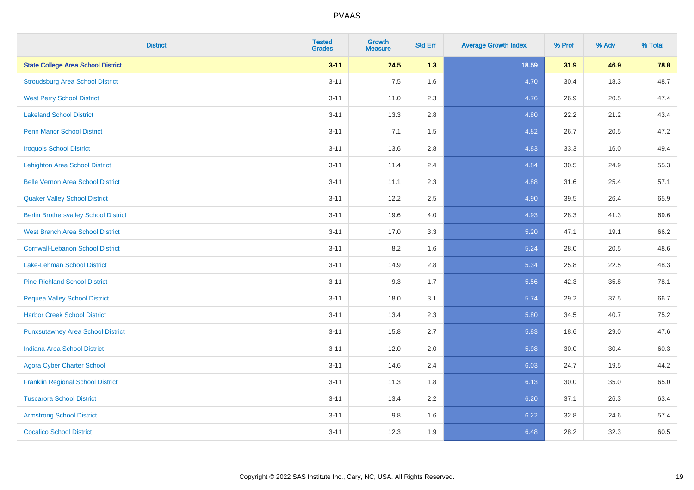| <b>District</b>                              | <b>Tested</b><br><b>Grades</b> | Growth<br><b>Measure</b> | <b>Std Err</b> | <b>Average Growth Index</b> | % Prof | % Adv | % Total |
|----------------------------------------------|--------------------------------|--------------------------|----------------|-----------------------------|--------|-------|---------|
| <b>State College Area School District</b>    | $3 - 11$                       | 24.5                     | 1.3            | 18.59                       | 31.9   | 46.9  | 78.8    |
| <b>Stroudsburg Area School District</b>      | $3 - 11$                       | 7.5                      | 1.6            | 4.70                        | 30.4   | 18.3  | 48.7    |
| <b>West Perry School District</b>            | $3 - 11$                       | 11.0                     | 2.3            | 4.76                        | 26.9   | 20.5  | 47.4    |
| <b>Lakeland School District</b>              | $3 - 11$                       | 13.3                     | 2.8            | 4.80                        | 22.2   | 21.2  | 43.4    |
| <b>Penn Manor School District</b>            | $3 - 11$                       | 7.1                      | 1.5            | 4.82                        | 26.7   | 20.5  | 47.2    |
| <b>Iroquois School District</b>              | $3 - 11$                       | 13.6                     | 2.8            | 4.83                        | 33.3   | 16.0  | 49.4    |
| <b>Lehighton Area School District</b>        | $3 - 11$                       | 11.4                     | 2.4            | 4.84                        | 30.5   | 24.9  | 55.3    |
| <b>Belle Vernon Area School District</b>     | $3 - 11$                       | 11.1                     | 2.3            | 4.88                        | 31.6   | 25.4  | 57.1    |
| <b>Quaker Valley School District</b>         | $3 - 11$                       | 12.2                     | 2.5            | 4.90                        | 39.5   | 26.4  | 65.9    |
| <b>Berlin Brothersvalley School District</b> | $3 - 11$                       | 19.6                     | 4.0            | 4.93                        | 28.3   | 41.3  | 69.6    |
| <b>West Branch Area School District</b>      | $3 - 11$                       | 17.0                     | 3.3            | 5.20                        | 47.1   | 19.1  | 66.2    |
| <b>Cornwall-Lebanon School District</b>      | $3 - 11$                       | 8.2                      | 1.6            | 5.24                        | 28.0   | 20.5  | 48.6    |
| Lake-Lehman School District                  | $3 - 11$                       | 14.9                     | 2.8            | 5.34                        | 25.8   | 22.5  | 48.3    |
| <b>Pine-Richland School District</b>         | $3 - 11$                       | 9.3                      | 1.7            | 5.56                        | 42.3   | 35.8  | 78.1    |
| <b>Pequea Valley School District</b>         | $3 - 11$                       | 18.0                     | 3.1            | 5.74                        | 29.2   | 37.5  | 66.7    |
| <b>Harbor Creek School District</b>          | $3 - 11$                       | 13.4                     | 2.3            | 5.80                        | 34.5   | 40.7  | 75.2    |
| <b>Punxsutawney Area School District</b>     | $3 - 11$                       | 15.8                     | 2.7            | 5.83                        | 18.6   | 29.0  | 47.6    |
| Indiana Area School District                 | $3 - 11$                       | 12.0                     | 2.0            | 5.98                        | 30.0   | 30.4  | 60.3    |
| <b>Agora Cyber Charter School</b>            | $3 - 11$                       | 14.6                     | 2.4            | 6.03                        | 24.7   | 19.5  | 44.2    |
| <b>Franklin Regional School District</b>     | $3 - 11$                       | 11.3                     | 1.8            | 6.13                        | 30.0   | 35.0  | 65.0    |
| <b>Tuscarora School District</b>             | $3 - 11$                       | 13.4                     | 2.2            | 6.20                        | 37.1   | 26.3  | 63.4    |
| <b>Armstrong School District</b>             | $3 - 11$                       | 9.8                      | 1.6            | 6.22                        | 32.8   | 24.6  | 57.4    |
| <b>Cocalico School District</b>              | $3 - 11$                       | 12.3                     | 1.9            | 6.48                        | 28.2   | 32.3  | 60.5    |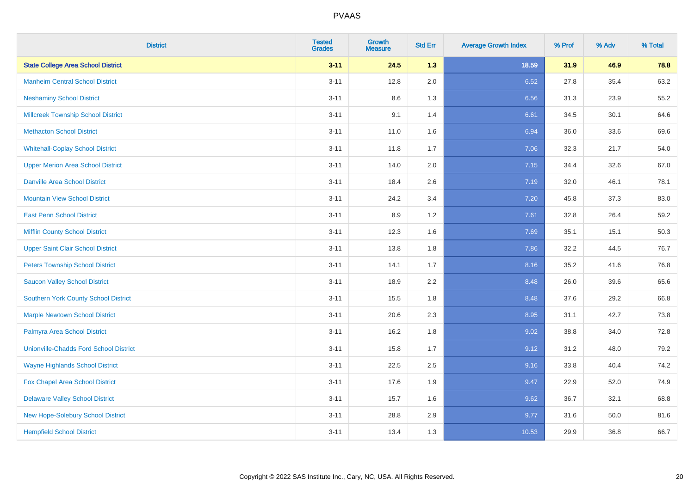| <b>District</b>                               | <b>Tested</b><br><b>Grades</b> | <b>Growth</b><br><b>Measure</b> | <b>Std Err</b> | <b>Average Growth Index</b> | % Prof | % Adv | % Total |
|-----------------------------------------------|--------------------------------|---------------------------------|----------------|-----------------------------|--------|-------|---------|
| <b>State College Area School District</b>     | $3 - 11$                       | 24.5                            | 1.3            | 18.59                       | 31.9   | 46.9  | 78.8    |
| <b>Manheim Central School District</b>        | $3 - 11$                       | 12.8                            | 2.0            | 6.52                        | 27.8   | 35.4  | 63.2    |
| <b>Neshaminy School District</b>              | $3 - 11$                       | 8.6                             | 1.3            | 6.56                        | 31.3   | 23.9  | 55.2    |
| <b>Millcreek Township School District</b>     | $3 - 11$                       | 9.1                             | 1.4            | 6.61                        | 34.5   | 30.1  | 64.6    |
| <b>Methacton School District</b>              | $3 - 11$                       | 11.0                            | 1.6            | 6.94                        | 36.0   | 33.6  | 69.6    |
| <b>Whitehall-Coplay School District</b>       | $3 - 11$                       | 11.8                            | 1.7            | 7.06                        | 32.3   | 21.7  | 54.0    |
| <b>Upper Merion Area School District</b>      | $3 - 11$                       | 14.0                            | 2.0            | 7.15                        | 34.4   | 32.6  | 67.0    |
| <b>Danville Area School District</b>          | $3 - 11$                       | 18.4                            | 2.6            | 7.19                        | 32.0   | 46.1  | 78.1    |
| <b>Mountain View School District</b>          | $3 - 11$                       | 24.2                            | 3.4            | 7.20                        | 45.8   | 37.3  | 83.0    |
| <b>East Penn School District</b>              | $3 - 11$                       | 8.9                             | 1.2            | 7.61                        | 32.8   | 26.4  | 59.2    |
| <b>Mifflin County School District</b>         | $3 - 11$                       | 12.3                            | 1.6            | 7.69                        | 35.1   | 15.1  | 50.3    |
| <b>Upper Saint Clair School District</b>      | $3 - 11$                       | 13.8                            | 1.8            | 7.86                        | 32.2   | 44.5  | 76.7    |
| <b>Peters Township School District</b>        | $3 - 11$                       | 14.1                            | 1.7            | 8.16                        | 35.2   | 41.6  | 76.8    |
| <b>Saucon Valley School District</b>          | $3 - 11$                       | 18.9                            | 2.2            | 8.48                        | 26.0   | 39.6  | 65.6    |
| <b>Southern York County School District</b>   | $3 - 11$                       | 15.5                            | 1.8            | 8.48                        | 37.6   | 29.2  | 66.8    |
| <b>Marple Newtown School District</b>         | $3 - 11$                       | 20.6                            | 2.3            | 8.95                        | 31.1   | 42.7  | 73.8    |
| Palmyra Area School District                  | $3 - 11$                       | 16.2                            | 1.8            | 9.02                        | 38.8   | 34.0  | 72.8    |
| <b>Unionville-Chadds Ford School District</b> | $3 - 11$                       | 15.8                            | 1.7            | 9.12                        | 31.2   | 48.0  | 79.2    |
| <b>Wayne Highlands School District</b>        | $3 - 11$                       | 22.5                            | 2.5            | 9.16                        | 33.8   | 40.4  | 74.2    |
| Fox Chapel Area School District               | $3 - 11$                       | 17.6                            | 1.9            | 9.47                        | 22.9   | 52.0  | 74.9    |
| <b>Delaware Valley School District</b>        | $3 - 11$                       | 15.7                            | 1.6            | 9.62                        | 36.7   | 32.1  | 68.8    |
| New Hope-Solebury School District             | $3 - 11$                       | 28.8                            | 2.9            | 9.77                        | 31.6   | 50.0  | 81.6    |
| <b>Hempfield School District</b>              | $3 - 11$                       | 13.4                            | 1.3            | 10.53                       | 29.9   | 36.8  | 66.7    |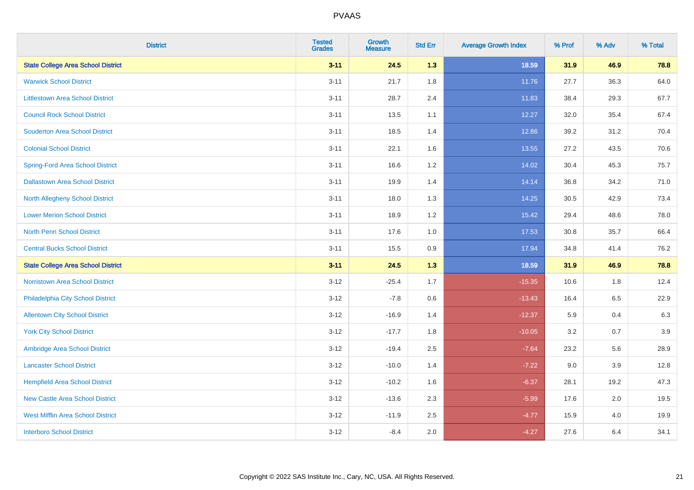| <b>District</b>                           | <b>Tested</b><br><b>Grades</b> | <b>Growth</b><br><b>Measure</b> | <b>Std Err</b> | <b>Average Growth Index</b> | % Prof | % Adv | % Total |
|-------------------------------------------|--------------------------------|---------------------------------|----------------|-----------------------------|--------|-------|---------|
| <b>State College Area School District</b> | $3 - 11$                       | 24.5                            | 1.3            | 18.59                       | 31.9   | 46.9  | 78.8    |
| <b>Warwick School District</b>            | $3 - 11$                       | 21.7                            | 1.8            | 11.76                       | 27.7   | 36.3  | 64.0    |
| <b>Littlestown Area School District</b>   | $3 - 11$                       | 28.7                            | 2.4            | 11.83                       | 38.4   | 29.3  | 67.7    |
| <b>Council Rock School District</b>       | $3 - 11$                       | 13.5                            | 1.1            | 12.27                       | 32.0   | 35.4  | 67.4    |
| <b>Souderton Area School District</b>     | $3 - 11$                       | 18.5                            | 1.4            | 12.86                       | 39.2   | 31.2  | 70.4    |
| <b>Colonial School District</b>           | $3 - 11$                       | 22.1                            | 1.6            | 13.55                       | 27.2   | 43.5  | 70.6    |
| <b>Spring-Ford Area School District</b>   | $3 - 11$                       | 16.6                            | 1.2            | 14.02                       | 30.4   | 45.3  | 75.7    |
| <b>Dallastown Area School District</b>    | $3 - 11$                       | 19.9                            | 1.4            | 14.14                       | 36.8   | 34.2  | 71.0    |
| <b>North Allegheny School District</b>    | $3 - 11$                       | 18.0                            | 1.3            | 14.25                       | 30.5   | 42.9  | 73.4    |
| <b>Lower Merion School District</b>       | $3 - 11$                       | 18.9                            | 1.2            | 15.42                       | 29.4   | 48.6  | 78.0    |
| North Penn School District                | $3 - 11$                       | 17.6                            | 1.0            | 17.53                       | 30.8   | 35.7  | 66.4    |
| <b>Central Bucks School District</b>      | $3 - 11$                       | 15.5                            | $0.9\,$        | 17.94                       | 34.8   | 41.4  | 76.2    |
| <b>State College Area School District</b> | $3 - 11$                       | 24.5                            | $1.3$          | 18.59                       | 31.9   | 46.9  | 78.8    |
| <b>Norristown Area School District</b>    | $3 - 12$                       | $-25.4$                         | 1.7            | $-15.35$                    | 10.6   | 1.8   | 12.4    |
| Philadelphia City School District         | $3 - 12$                       | $-7.8$                          | 0.6            | $-13.43$                    | 16.4   | 6.5   | 22.9    |
| <b>Allentown City School District</b>     | $3 - 12$                       | $-16.9$                         | 1.4            | $-12.37$                    | 5.9    | 0.4   | 6.3     |
| <b>York City School District</b>          | $3 - 12$                       | $-17.7$                         | 1.8            | $-10.05$                    | 3.2    | 0.7   | 3.9     |
| Ambridge Area School District             | $3 - 12$                       | $-19.4$                         | 2.5            | $-7.64$                     | 23.2   | 5.6   | 28.9    |
| <b>Lancaster School District</b>          | $3 - 12$                       | $-10.0$                         | 1.4            | $-7.22$                     | 9.0    | 3.9   | 12.8    |
| <b>Hempfield Area School District</b>     | $3 - 12$                       | $-10.2$                         | 1.6            | $-6.37$                     | 28.1   | 19.2  | 47.3    |
| <b>New Castle Area School District</b>    | $3 - 12$                       | $-13.6$                         | 2.3            | $-5.99$                     | 17.6   | 2.0   | 19.5    |
| <b>West Mifflin Area School District</b>  | $3 - 12$                       | $-11.9$                         | 2.5            | $-4.77$                     | 15.9   | 4.0   | 19.9    |
| <b>Interboro School District</b>          | $3 - 12$                       | $-8.4$                          | 2.0            | $-4.27$                     | 27.6   | 6.4   | 34.1    |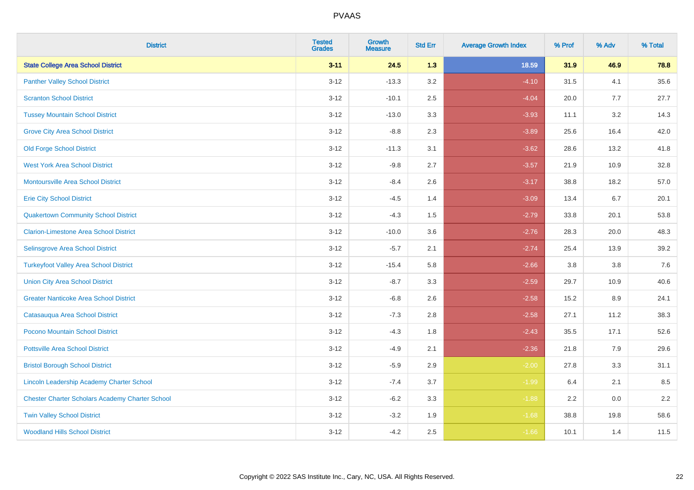| <b>District</b>                                        | <b>Tested</b><br><b>Grades</b> | <b>Growth</b><br><b>Measure</b> | <b>Std Err</b> | <b>Average Growth Index</b> | % Prof | % Adv   | % Total |
|--------------------------------------------------------|--------------------------------|---------------------------------|----------------|-----------------------------|--------|---------|---------|
| <b>State College Area School District</b>              | $3 - 11$                       | 24.5                            | 1.3            | 18.59                       | 31.9   | 46.9    | 78.8    |
| <b>Panther Valley School District</b>                  | $3 - 12$                       | $-13.3$                         | 3.2            | $-4.10$                     | 31.5   | 4.1     | 35.6    |
| <b>Scranton School District</b>                        | $3 - 12$                       | $-10.1$                         | 2.5            | $-4.04$                     | 20.0   | 7.7     | 27.7    |
| <b>Tussey Mountain School District</b>                 | $3 - 12$                       | $-13.0$                         | 3.3            | $-3.93$                     | 11.1   | 3.2     | 14.3    |
| <b>Grove City Area School District</b>                 | $3-12$                         | $-8.8$                          | 2.3            | $-3.89$                     | 25.6   | 16.4    | 42.0    |
| <b>Old Forge School District</b>                       | $3-12$                         | $-11.3$                         | 3.1            | $-3.62$                     | 28.6   | 13.2    | 41.8    |
| <b>West York Area School District</b>                  | $3 - 12$                       | $-9.8$                          | 2.7            | $-3.57$                     | 21.9   | 10.9    | 32.8    |
| <b>Montoursville Area School District</b>              | $3 - 12$                       | $-8.4$                          | 2.6            | $-3.17$                     | 38.8   | 18.2    | 57.0    |
| <b>Erie City School District</b>                       | $3 - 12$                       | $-4.5$                          | 1.4            | $-3.09$                     | 13.4   | 6.7     | 20.1    |
| <b>Quakertown Community School District</b>            | $3 - 12$                       | $-4.3$                          | 1.5            | $-2.79$                     | 33.8   | 20.1    | 53.8    |
| <b>Clarion-Limestone Area School District</b>          | $3 - 12$                       | $-10.0$                         | 3.6            | $-2.76$                     | 28.3   | 20.0    | 48.3    |
| Selinsgrove Area School District                       | $3 - 12$                       | $-5.7$                          | 2.1            | $-2.74$                     | 25.4   | 13.9    | 39.2    |
| <b>Turkeyfoot Valley Area School District</b>          | $3-12$                         | $-15.4$                         | 5.8            | $-2.66$                     | 3.8    | $3.8\,$ | 7.6     |
| <b>Union City Area School District</b>                 | $3 - 12$                       | $-8.7$                          | 3.3            | $-2.59$                     | 29.7   | 10.9    | 40.6    |
| <b>Greater Nanticoke Area School District</b>          | $3 - 12$                       | $-6.8$                          | 2.6            | $-2.58$                     | 15.2   | 8.9     | 24.1    |
| Catasauqua Area School District                        | $3 - 12$                       | $-7.3$                          | 2.8            | $-2.58$                     | 27.1   | 11.2    | 38.3    |
| Pocono Mountain School District                        | $3 - 12$                       | $-4.3$                          | 1.8            | $-2.43$                     | 35.5   | 17.1    | 52.6    |
| <b>Pottsville Area School District</b>                 | $3 - 12$                       | $-4.9$                          | 2.1            | $-2.36$                     | 21.8   | 7.9     | 29.6    |
| <b>Bristol Borough School District</b>                 | $3 - 12$                       | $-5.9$                          | 2.9            | $-2.00$                     | 27.8   | 3.3     | 31.1    |
| Lincoln Leadership Academy Charter School              | $3 - 12$                       | $-7.4$                          | 3.7            | $-1.99$                     | 6.4    | 2.1     | 8.5     |
| <b>Chester Charter Scholars Academy Charter School</b> | $3 - 12$                       | $-6.2$                          | 3.3            | $-1.88$                     | 2.2    | 0.0     | 2.2     |
| <b>Twin Valley School District</b>                     | $3 - 12$                       | $-3.2$                          | 1.9            | $-1.68$                     | 38.8   | 19.8    | 58.6    |
| <b>Woodland Hills School District</b>                  | $3 - 12$                       | $-4.2$                          | 2.5            | $-1.66$                     | 10.1   | 1.4     | 11.5    |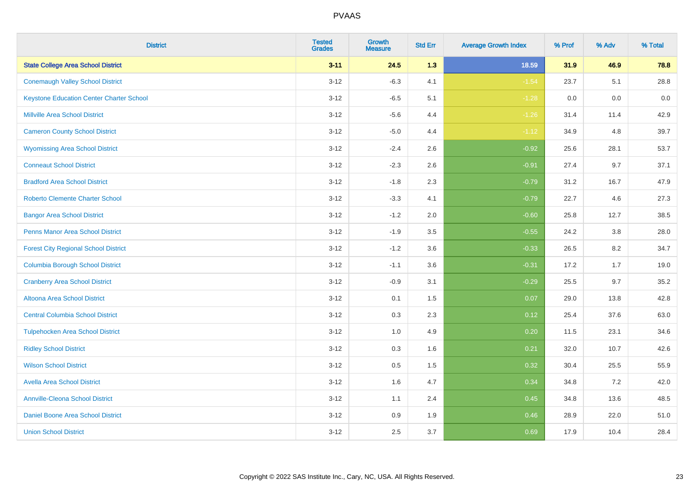| <b>District</b>                                 | <b>Tested</b><br><b>Grades</b> | <b>Growth</b><br><b>Measure</b> | <b>Std Err</b> | <b>Average Growth Index</b> | % Prof | % Adv | % Total |
|-------------------------------------------------|--------------------------------|---------------------------------|----------------|-----------------------------|--------|-------|---------|
| <b>State College Area School District</b>       | $3 - 11$                       | 24.5                            | 1.3            | 18.59                       | 31.9   | 46.9  | 78.8    |
| <b>Conemaugh Valley School District</b>         | $3 - 12$                       | $-6.3$                          | 4.1            | $-1.54$                     | 23.7   | 5.1   | 28.8    |
| <b>Keystone Education Center Charter School</b> | $3 - 12$                       | $-6.5$                          | 5.1            | $-1.28$                     | 0.0    | 0.0   | $0.0\,$ |
| <b>Millville Area School District</b>           | $3 - 12$                       | $-5.6$                          | 4.4            | $-1.26$                     | 31.4   | 11.4  | 42.9    |
| <b>Cameron County School District</b>           | $3 - 12$                       | $-5.0$                          | 4.4            | $-1.12$                     | 34.9   | 4.8   | 39.7    |
| <b>Wyomissing Area School District</b>          | $3 - 12$                       | $-2.4$                          | 2.6            | $-0.92$                     | 25.6   | 28.1  | 53.7    |
| <b>Conneaut School District</b>                 | $3 - 12$                       | $-2.3$                          | 2.6            | $-0.91$                     | 27.4   | 9.7   | 37.1    |
| <b>Bradford Area School District</b>            | $3 - 12$                       | $-1.8$                          | 2.3            | $-0.79$                     | 31.2   | 16.7  | 47.9    |
| <b>Roberto Clemente Charter School</b>          | $3 - 12$                       | $-3.3$                          | 4.1            | $-0.79$                     | 22.7   | 4.6   | 27.3    |
| <b>Bangor Area School District</b>              | $3 - 12$                       | $-1.2$                          | 2.0            | $-0.60$                     | 25.8   | 12.7  | 38.5    |
| <b>Penns Manor Area School District</b>         | $3 - 12$                       | $-1.9$                          | 3.5            | $-0.55$                     | 24.2   | 3.8   | 28.0    |
| <b>Forest City Regional School District</b>     | $3 - 12$                       | $-1.2$                          | 3.6            | $-0.33$                     | 26.5   | 8.2   | 34.7    |
| <b>Columbia Borough School District</b>         | $3 - 12$                       | $-1.1$                          | 3.6            | $-0.31$                     | 17.2   | 1.7   | 19.0    |
| <b>Cranberry Area School District</b>           | $3 - 12$                       | $-0.9$                          | 3.1            | $-0.29$                     | 25.5   | 9.7   | 35.2    |
| <b>Altoona Area School District</b>             | $3 - 12$                       | 0.1                             | 1.5            | 0.07                        | 29.0   | 13.8  | 42.8    |
| <b>Central Columbia School District</b>         | $3 - 12$                       | 0.3                             | 2.3            | 0.12                        | 25.4   | 37.6  | 63.0    |
| <b>Tulpehocken Area School District</b>         | $3-12$                         | 1.0                             | 4.9            | 0.20                        | 11.5   | 23.1  | 34.6    |
| <b>Ridley School District</b>                   | $3 - 12$                       | 0.3                             | 1.6            | 0.21                        | 32.0   | 10.7  | 42.6    |
| <b>Wilson School District</b>                   | $3 - 12$                       | 0.5                             | 1.5            | 0.32                        | 30.4   | 25.5  | 55.9    |
| <b>Avella Area School District</b>              | $3 - 12$                       | 1.6                             | 4.7            | 0.34                        | 34.8   | 7.2   | 42.0    |
| <b>Annville-Cleona School District</b>          | $3 - 12$                       | 1.1                             | 2.4            | 0.45                        | 34.8   | 13.6  | 48.5    |
| Daniel Boone Area School District               | $3 - 12$                       | 0.9                             | 1.9            | 0.46                        | 28.9   | 22.0  | 51.0    |
| <b>Union School District</b>                    | $3 - 12$                       | 2.5                             | 3.7            | 0.69                        | 17.9   | 10.4  | 28.4    |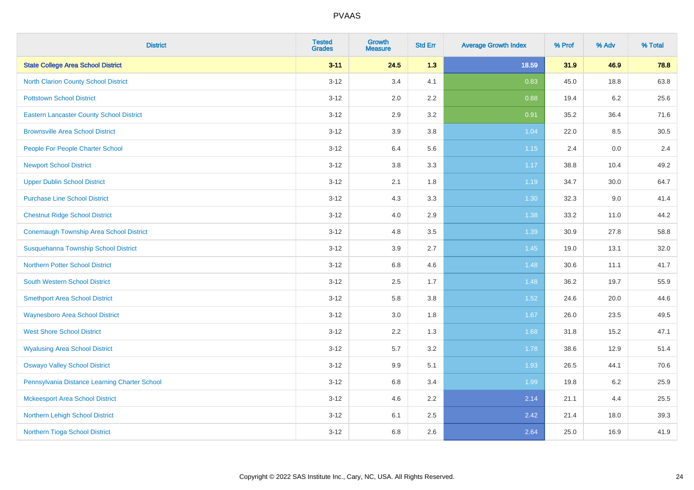| <b>District</b>                                 | <b>Tested</b><br><b>Grades</b> | <b>Growth</b><br><b>Measure</b> | <b>Std Err</b> | <b>Average Growth Index</b> | % Prof | % Adv   | % Total |
|-------------------------------------------------|--------------------------------|---------------------------------|----------------|-----------------------------|--------|---------|---------|
| <b>State College Area School District</b>       | $3 - 11$                       | 24.5                            | 1.3            | 18.59                       | 31.9   | 46.9    | 78.8    |
| <b>North Clarion County School District</b>     | $3 - 12$                       | 3.4                             | 4.1            | 0.83                        | 45.0   | 18.8    | 63.8    |
| <b>Pottstown School District</b>                | $3 - 12$                       | 2.0                             | 2.2            | 0.88                        | 19.4   | $6.2\,$ | 25.6    |
| <b>Eastern Lancaster County School District</b> | $3 - 12$                       | 2.9                             | 3.2            | 0.91                        | 35.2   | 36.4    | 71.6    |
| <b>Brownsville Area School District</b>         | $3 - 12$                       | 3.9                             | 3.8            | 1.04                        | 22.0   | 8.5     | 30.5    |
| People For People Charter School                | $3 - 12$                       | 6.4                             | 5.6            | 1.15                        | 2.4    | 0.0     | 2.4     |
| <b>Newport School District</b>                  | $3 - 12$                       | 3.8                             | 3.3            | 1.17                        | 38.8   | 10.4    | 49.2    |
| <b>Upper Dublin School District</b>             | $3 - 12$                       | 2.1                             | 1.8            | 1.19                        | 34.7   | 30.0    | 64.7    |
| <b>Purchase Line School District</b>            | $3 - 12$                       | 4.3                             | 3.3            | 1.30                        | 32.3   | 9.0     | 41.4    |
| <b>Chestnut Ridge School District</b>           | $3 - 12$                       | 4.0                             | 2.9            | 1.38                        | 33.2   | 11.0    | 44.2    |
| Conemaugh Township Area School District         | $3 - 12$                       | 4.8                             | 3.5            | 1.39                        | 30.9   | 27.8    | 58.8    |
| Susquehanna Township School District            | $3 - 12$                       | 3.9                             | 2.7            | 1.45                        | 19.0   | 13.1    | 32.0    |
| <b>Northern Potter School District</b>          | $3 - 12$                       | $6.8\,$                         | 4.6            | 1.48                        | 30.6   | 11.1    | 41.7    |
| <b>South Western School District</b>            | $3 - 12$                       | 2.5                             | 1.7            | 1.48                        | 36.2   | 19.7    | 55.9    |
| <b>Smethport Area School District</b>           | $3 - 12$                       | 5.8                             | 3.8            | 1.52                        | 24.6   | 20.0    | 44.6    |
| <b>Waynesboro Area School District</b>          | $3 - 12$                       | 3.0                             | 1.8            | 1.67                        | 26.0   | 23.5    | 49.5    |
| <b>West Shore School District</b>               | $3 - 12$                       | 2.2                             | 1.3            | 1.68                        | 31.8   | 15.2    | 47.1    |
| <b>Wyalusing Area School District</b>           | $3 - 12$                       | 5.7                             | 3.2            | 1.78                        | 38.6   | 12.9    | 51.4    |
| <b>Oswayo Valley School District</b>            | $3 - 12$                       | 9.9                             | 5.1            | 1.93                        | 26.5   | 44.1    | 70.6    |
| Pennsylvania Distance Learning Charter School   | $3 - 12$                       | $6.8\,$                         | 3.4            | 1.99                        | 19.8   | 6.2     | 25.9    |
| <b>Mckeesport Area School District</b>          | $3 - 12$                       | 4.6                             | 2.2            | 2.14                        | 21.1   | 4.4     | 25.5    |
| Northern Lehigh School District                 | $3 - 12$                       | 6.1                             | 2.5            | 2.42                        | 21.4   | 18.0    | 39.3    |
| Northern Tioga School District                  | $3 - 12$                       | 6.8                             | 2.6            | 2.64                        | 25.0   | 16.9    | 41.9    |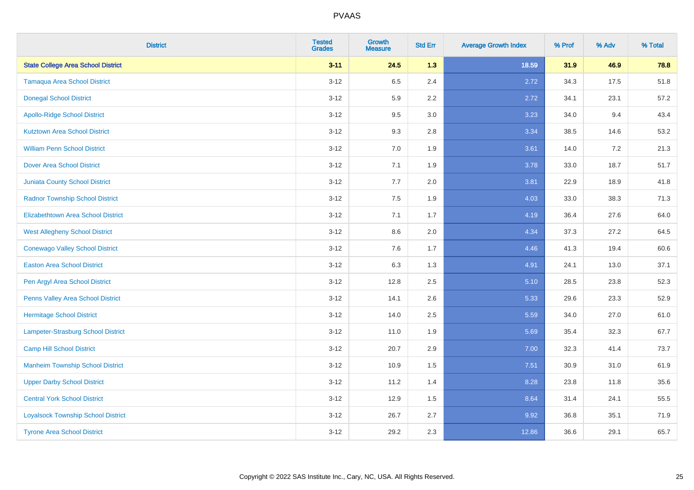| <b>District</b>                           | <b>Tested</b><br><b>Grades</b> | <b>Growth</b><br><b>Measure</b> | <b>Std Err</b> | <b>Average Growth Index</b> | % Prof | % Adv | % Total |
|-------------------------------------------|--------------------------------|---------------------------------|----------------|-----------------------------|--------|-------|---------|
| <b>State College Area School District</b> | $3 - 11$                       | 24.5                            | 1.3            | 18.59                       | 31.9   | 46.9  | 78.8    |
| <b>Tamaqua Area School District</b>       | $3 - 12$                       | 6.5                             | 2.4            | 2.72                        | 34.3   | 17.5  | 51.8    |
| <b>Donegal School District</b>            | $3 - 12$                       | 5.9                             | 2.2            | 2.72                        | 34.1   | 23.1  | 57.2    |
| <b>Apollo-Ridge School District</b>       | $3 - 12$                       | 9.5                             | 3.0            | 3.23                        | 34.0   | 9.4   | 43.4    |
| <b>Kutztown Area School District</b>      | $3 - 12$                       | 9.3                             | 2.8            | 3.34                        | 38.5   | 14.6  | 53.2    |
| <b>William Penn School District</b>       | $3 - 12$                       | 7.0                             | 1.9            | 3.61                        | 14.0   | 7.2   | 21.3    |
| <b>Dover Area School District</b>         | $3 - 12$                       | 7.1                             | 1.9            | 3.78                        | 33.0   | 18.7  | 51.7    |
| <b>Juniata County School District</b>     | $3 - 12$                       | 7.7                             | 2.0            | 3.81                        | 22.9   | 18.9  | 41.8    |
| <b>Radnor Township School District</b>    | $3 - 12$                       | 7.5                             | 1.9            | 4.03                        | 33.0   | 38.3  | 71.3    |
| <b>Elizabethtown Area School District</b> | $3 - 12$                       | 7.1                             | 1.7            | 4.19                        | 36.4   | 27.6  | 64.0    |
| <b>West Allegheny School District</b>     | $3 - 12$                       | 8.6                             | 2.0            | 4.34                        | 37.3   | 27.2  | 64.5    |
| <b>Conewago Valley School District</b>    | $3 - 12$                       | 7.6                             | 1.7            | 4.46                        | 41.3   | 19.4  | 60.6    |
| <b>Easton Area School District</b>        | $3 - 12$                       | 6.3                             | 1.3            | 4.91                        | 24.1   | 13.0  | 37.1    |
| Pen Argyl Area School District            | $3 - 12$                       | 12.8                            | 2.5            | 5.10                        | 28.5   | 23.8  | 52.3    |
| Penns Valley Area School District         | $3 - 12$                       | 14.1                            | 2.6            | 5.33                        | 29.6   | 23.3  | 52.9    |
| <b>Hermitage School District</b>          | $3 - 12$                       | 14.0                            | 2.5            | 5.59                        | 34.0   | 27.0  | 61.0    |
| Lampeter-Strasburg School District        | $3 - 12$                       | 11.0                            | 1.9            | 5.69                        | 35.4   | 32.3  | 67.7    |
| <b>Camp Hill School District</b>          | $3 - 12$                       | 20.7                            | 2.9            | 7.00                        | 32.3   | 41.4  | 73.7    |
| <b>Manheim Township School District</b>   | $3 - 12$                       | 10.9                            | 1.5            | 7.51                        | 30.9   | 31.0  | 61.9    |
| <b>Upper Darby School District</b>        | $3 - 12$                       | 11.2                            | 1.4            | 8.28                        | 23.8   | 11.8  | 35.6    |
| <b>Central York School District</b>       | $3 - 12$                       | 12.9                            | 1.5            | 8.64                        | 31.4   | 24.1  | 55.5    |
| <b>Loyalsock Township School District</b> | $3 - 12$                       | 26.7                            | 2.7            | 9.92                        | 36.8   | 35.1  | 71.9    |
| <b>Tyrone Area School District</b>        | $3 - 12$                       | 29.2                            | 2.3            | 12.86                       | 36.6   | 29.1  | 65.7    |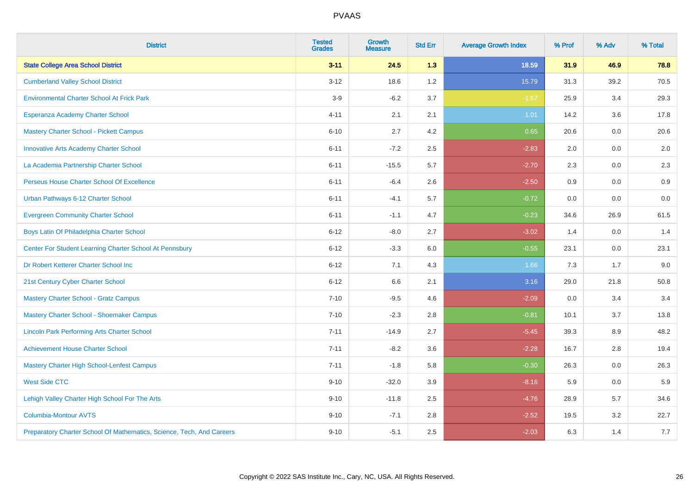| <b>District</b>                                                       | <b>Tested</b><br><b>Grades</b> | <b>Growth</b><br><b>Measure</b> | <b>Std Err</b> | <b>Average Growth Index</b> | % Prof | % Adv | % Total |
|-----------------------------------------------------------------------|--------------------------------|---------------------------------|----------------|-----------------------------|--------|-------|---------|
| <b>State College Area School District</b>                             | $3 - 11$                       | 24.5                            | 1.3            | 18.59                       | 31.9   | 46.9  | 78.8    |
| <b>Cumberland Valley School District</b>                              | $3 - 12$                       | 18.6                            | 1.2            | 15.79                       | 31.3   | 39.2  | 70.5    |
| <b>Environmental Charter School At Frick Park</b>                     | $3-9$                          | $-6.2$                          | 3.7            | $-1.67$                     | 25.9   | 3.4   | 29.3    |
| Esperanza Academy Charter School                                      | $4 - 11$                       | 2.1                             | 2.1            | 1.01                        | 14.2   | 3.6   | 17.8    |
| <b>Mastery Charter School - Pickett Campus</b>                        | $6 - 10$                       | 2.7                             | 4.2            | 0.65                        | 20.6   | 0.0   | 20.6    |
| <b>Innovative Arts Academy Charter School</b>                         | $6 - 11$                       | $-7.2$                          | 2.5            | $-2.83$                     | 2.0    | 0.0   | 2.0     |
| La Academia Partnership Charter School                                | $6 - 11$                       | $-15.5$                         | 5.7            | $-2.70$                     | 2.3    | 0.0   | 2.3     |
| Perseus House Charter School Of Excellence                            | $6 - 11$                       | $-6.4$                          | 2.6            | $-2.50$                     | 0.9    | 0.0   | 0.9     |
| Urban Pathways 6-12 Charter School                                    | $6 - 11$                       | $-4.1$                          | 5.7            | $-0.72$                     | 0.0    | 0.0   | $0.0\,$ |
| <b>Evergreen Community Charter School</b>                             | $6 - 11$                       | $-1.1$                          | 4.7            | $-0.23$                     | 34.6   | 26.9  | 61.5    |
| Boys Latin Of Philadelphia Charter School                             | $6 - 12$                       | $-8.0$                          | 2.7            | $-3.02$                     | 1.4    | 0.0   | 1.4     |
| Center For Student Learning Charter School At Pennsbury               | $6 - 12$                       | $-3.3$                          | 6.0            | $-0.55$                     | 23.1   | 0.0   | 23.1    |
| Dr Robert Ketterer Charter School Inc                                 | $6 - 12$                       | 7.1                             | 4.3            | 1.66                        | 7.3    | 1.7   | 9.0     |
| 21st Century Cyber Charter School                                     | $6 - 12$                       | 6.6                             | 2.1            | 3.16                        | 29.0   | 21.8  | 50.8    |
| <b>Mastery Charter School - Gratz Campus</b>                          | $7 - 10$                       | $-9.5$                          | 4.6            | $-2.09$                     | 0.0    | 3.4   | 3.4     |
| Mastery Charter School - Shoemaker Campus                             | $7 - 10$                       | $-2.3$                          | 2.8            | $-0.81$                     | 10.1   | 3.7   | 13.8    |
| <b>Lincoln Park Performing Arts Charter School</b>                    | $7 - 11$                       | $-14.9$                         | 2.7            | $-5.45$                     | 39.3   | 8.9   | 48.2    |
| <b>Achievement House Charter School</b>                               | $7 - 11$                       | $-8.2$                          | 3.6            | $-2.28$                     | 16.7   | 2.8   | 19.4    |
| <b>Mastery Charter High School-Lenfest Campus</b>                     | $7 - 11$                       | $-1.8$                          | 5.8            | $-0.30$                     | 26.3   | 0.0   | 26.3    |
| <b>West Side CTC</b>                                                  | $9 - 10$                       | $-32.0$                         | 3.9            | $-8.16$                     | 5.9    | 0.0   | 5.9     |
| Lehigh Valley Charter High School For The Arts                        | $9 - 10$                       | $-11.8$                         | 2.5            | $-4.76$                     | 28.9   | 5.7   | 34.6    |
| <b>Columbia-Montour AVTS</b>                                          | $9 - 10$                       | $-7.1$                          | 2.8            | $-2.52$                     | 19.5   | 3.2   | 22.7    |
| Preparatory Charter School Of Mathematics, Science, Tech, And Careers | $9 - 10$                       | $-5.1$                          | 2.5            | $-2.03$                     | 6.3    | 1.4   | 7.7     |